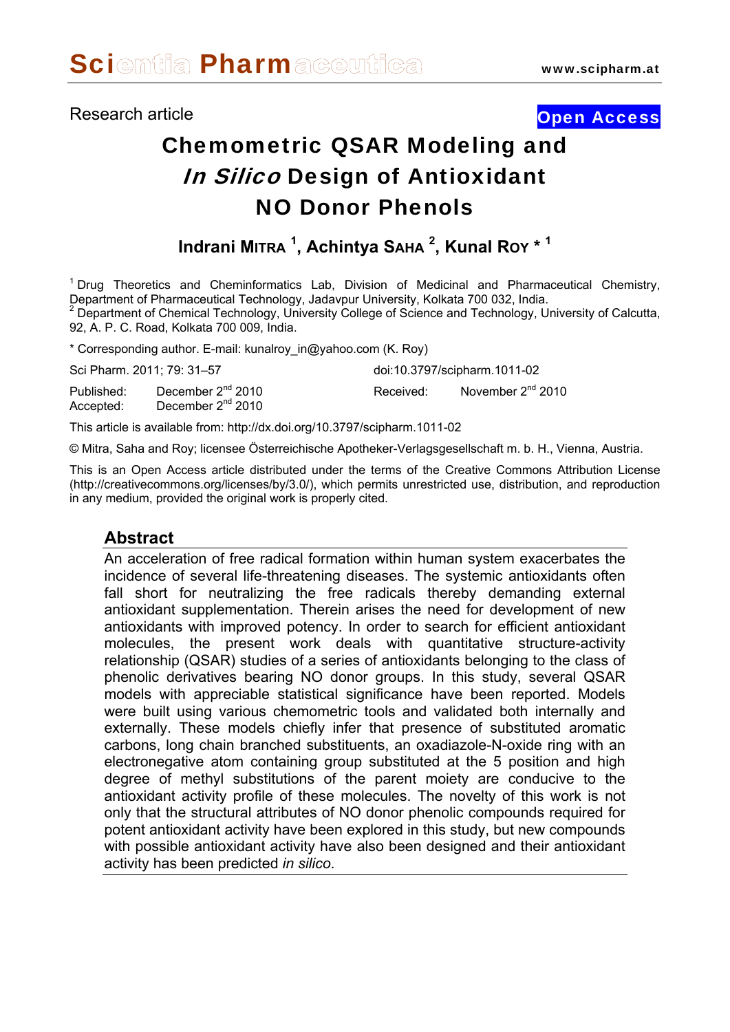

# Chemometric QSAR Modeling and In Silico Design of Antioxidant NO Donor Phenols

**Indrani MITRA <sup>1</sup> , Achintya SAHA <sup>2</sup> , Kunal ROY \* <sup>1</sup>**

<sup>1</sup> Drug Theoretics and Cheminformatics Lab, Division of Medicinal and Pharmaceutical Chemistry, Department of Pharmaceutical Technology, Jadavpur University, Kolkata 700 032, India. 2  $2$  Department of Chemical Technology, University College of Science and Technology, University of Calcutta, 92, A. P. C. Road, Kolkata 700 009, India.

\* Corresponding author. E-mail: [kunalroy\\_in@yahoo.com](mailto:kunalroy_in@yahoo.com) (K. Roy)

Sci Pharm. 2011; 79: 31–57 doi:10.3797/scipharm.1011-02 Published: December 2<sup>nd</sup> 2010 Received: November 2<sup>nd</sup> 2010

Accepted: December 2<sup>nd</sup> 2010

This article is available from: http://dx.doi.org/10.3797/scipharm.1011-02

© Mitra, Saha and Roy; licensee Österreichische Apotheker-Verlagsgesellschaft m. b. H., Vienna, Austria.

This is an Open Access article distributed under the terms of the Creative Commons Attribution License [\(http://creativecommons.org/licenses/by/3.0/](http://creativecommons.org/licenses/by/3.0/)), which permits unrestricted use, distribution, and reproduction in any medium, provided the original work is properly cited.

#### **Abstract**

An acceleration of free radical formation within human system exacerbates the incidence of several life-threatening diseases. The systemic antioxidants often fall short for neutralizing the free radicals thereby demanding external antioxidant supplementation. Therein arises the need for development of new antioxidants with improved potency. In order to search for efficient antioxidant molecules, the present work deals with quantitative structure-activity relationship (QSAR) studies of a series of antioxidants belonging to the class of phenolic derivatives bearing NO donor groups. In this study, several QSAR models with appreciable statistical significance have been reported. Models were built using various chemometric tools and validated both internally and externally. These models chiefly infer that presence of substituted aromatic carbons, long chain branched substituents, an oxadiazole-N-oxide ring with an electronegative atom containing group substituted at the 5 position and high degree of methyl substitutions of the parent moiety are conducive to the antioxidant activity profile of these molecules. The novelty of this work is not only that the structural attributes of NO donor phenolic compounds required for potent antioxidant activity have been explored in this study, but new compounds with possible antioxidant activity have also been designed and their antioxidant activity has been predicted *in silico*.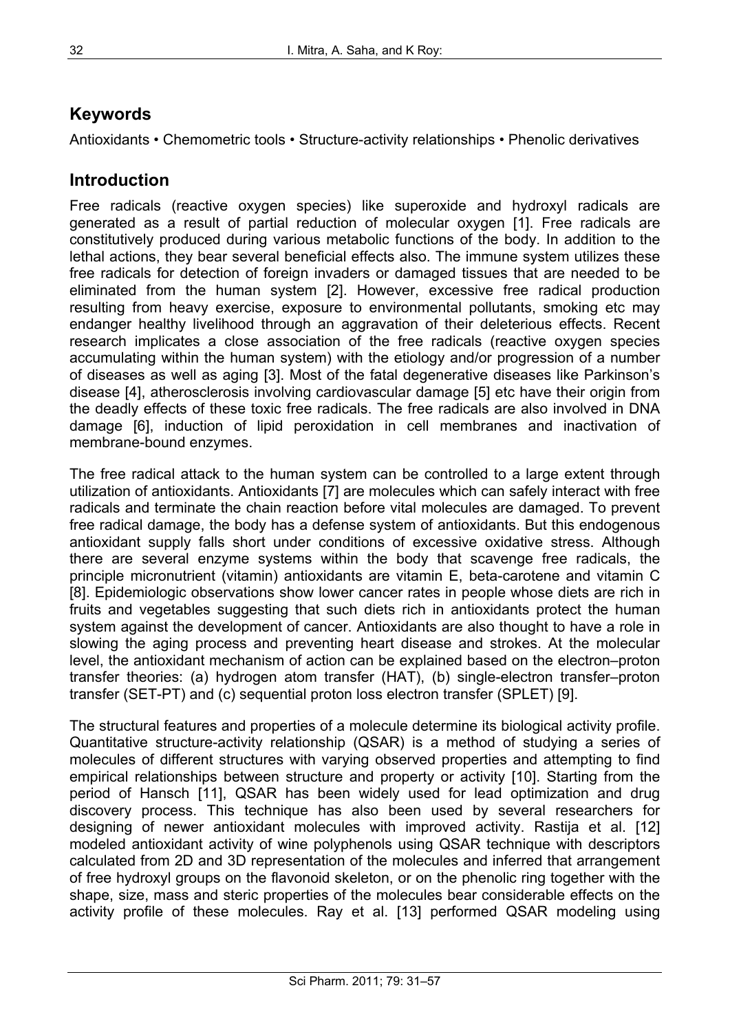# **Keywords**

Antioxidants • Chemometric tools • Structure-activity relationships • Phenolic derivatives

# **Introduction**

Free radicals (reactive oxygen species) like superoxide and hydroxyl radicals are generated as a result of partial reduction of molecular oxygen [1]. Free radicals are constitutively produced during various metabolic functions of the body. In addition to the lethal actions, they bear several beneficial effects also. The immune system utilizes these free radicals for detection of foreign invaders or damaged tissues that are needed to be eliminated from the human system [2]. However, excessive free radical production resulting from heavy exercise, exposure to environmental pollutants, smoking etc may endanger healthy livelihood through an aggravation of their deleterious effects. Recent research implicates a close association of the free radicals (reactive oxygen species accumulating within the human system) with the etiology and/or progression of a number of diseases as well as aging [3]. Most of the fatal degenerative diseases like Parkinson's disease [4], atherosclerosis involving cardiovascular damage [5] etc have their origin from the deadly effects of these toxic free radicals. The free radicals are also involved in DNA damage [6], induction of lipid peroxidation in cell membranes and inactivation of membrane-bound enzymes.

The free radical attack to the human system can be controlled to a large extent through utilization of antioxidants. Antioxidants [7] are molecules which can safely interact with free radicals and terminate the chain reaction before vital molecules are damaged. To prevent free radical damage, the body has a defense system of antioxidants. But this endogenous antioxidant supply falls short under conditions of excessive oxidative stress. Although there are several enzyme systems within the body that scavenge free radicals, the principle micronutrient (vitamin) antioxidants are vitamin E, beta-carotene and vitamin C [8]. Epidemiologic observations show lower cancer rates in people whose diets are rich in fruits and vegetables suggesting that such diets rich in antioxidants protect the human system against the development of cancer. Antioxidants are also thought to have a role in slowing the aging process and preventing heart disease and strokes. At the molecular level, the antioxidant mechanism of action can be explained based on the electron–proton transfer theories: (a) hydrogen atom transfer (HAT), (b) single-electron transfer–proton transfer (SET-PT) and (c) sequential proton loss electron transfer (SPLET) [9].

The structural features and properties of a molecule determine its biological activity profile. Quantitative structure-activity relationship (QSAR) is a method of studying a series of molecules of different structures with varying observed properties and attempting to find empirical relationships between structure and property or activity [10]. Starting from the period of Hansch [11], QSAR has been widely used for lead optimization and drug discovery process. This technique has also been used by several researchers for designing of newer antioxidant molecules with improved activity. Rastija et al. [12] modeled antioxidant activity of wine polyphenols using QSAR technique with descriptors calculated from 2D and 3D representation of the molecules and inferred that arrangement of free hydroxyl groups on the flavonoid skeleton, or on the phenolic ring together with the shape, size, mass and steric properties of the molecules bear considerable effects on the activity profile of these molecules. Ray et al. [13] performed QSAR modeling using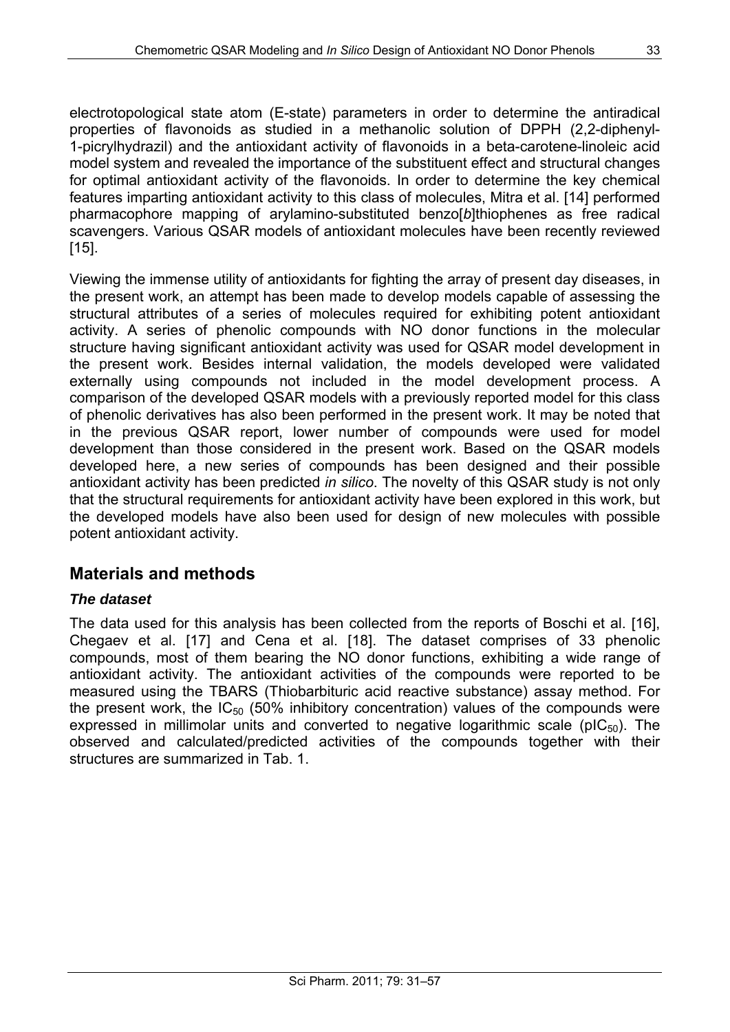electrotopological state atom (E-state) parameters in order to determine the antiradical properties of flavonoids as studied in a methanolic solution of DPPH (2,2-diphenyl-1-picrylhydrazil) and the antioxidant activity of flavonoids in a beta-carotene-linoleic acid model system and revealed the importance of the substituent effect and structural changes for optimal antioxidant activity of the flavonoids. In order to determine the key chemical features imparting antioxidant activity to this class of molecules, Mitra et al. [14] performed pharmacophore mapping of arylamino-substituted benzo[*b*]thiophenes as free radical scavengers. Various QSAR models of antioxidant molecules have been recently reviewed [15].

Viewing the immense utility of antioxidants for fighting the array of present day diseases, in the present work, an attempt has been made to develop models capable of assessing the structural attributes of a series of molecules required for exhibiting potent antioxidant activity. A series of phenolic compounds with NO donor functions in the molecular structure having significant antioxidant activity was used for QSAR model development in the present work. Besides internal validation, the models developed were validated externally using compounds not included in the model development process. A comparison of the developed QSAR models with a previously reported model for this class of phenolic derivatives has also been performed in the present work. It may be noted that in the previous QSAR report, lower number of compounds were used for model development than those considered in the present work. Based on the QSAR models developed here, a new series of compounds has been designed and their possible antioxidant activity has been predicted *in silico*. The novelty of this QSAR study is not only that the structural requirements for antioxidant activity have been explored in this work, but the developed models have also been used for design of new molecules with possible potent antioxidant activity.

## **Materials and methods**

#### *The dataset*

The data used for this analysis has been collected from the reports of Boschi et al. [16], Chegaev et al. [17] and Cena et al. [18]. The dataset comprises of 33 phenolic compounds, most of them bearing the NO donor functions, exhibiting a wide range of antioxidant activity. The antioxidant activities of the compounds were reported to be measured using the TBARS (Thiobarbituric acid reactive substance) assay method. For the present work, the  $IC_{50}$  (50% inhibitory concentration) values of the compounds were expressed in millimolar units and converted to negative logarithmic scale ( $pIC_{50}$ ). The observed and calculated/predicted activities of the compounds together with their structures are summarized in Tab. 1.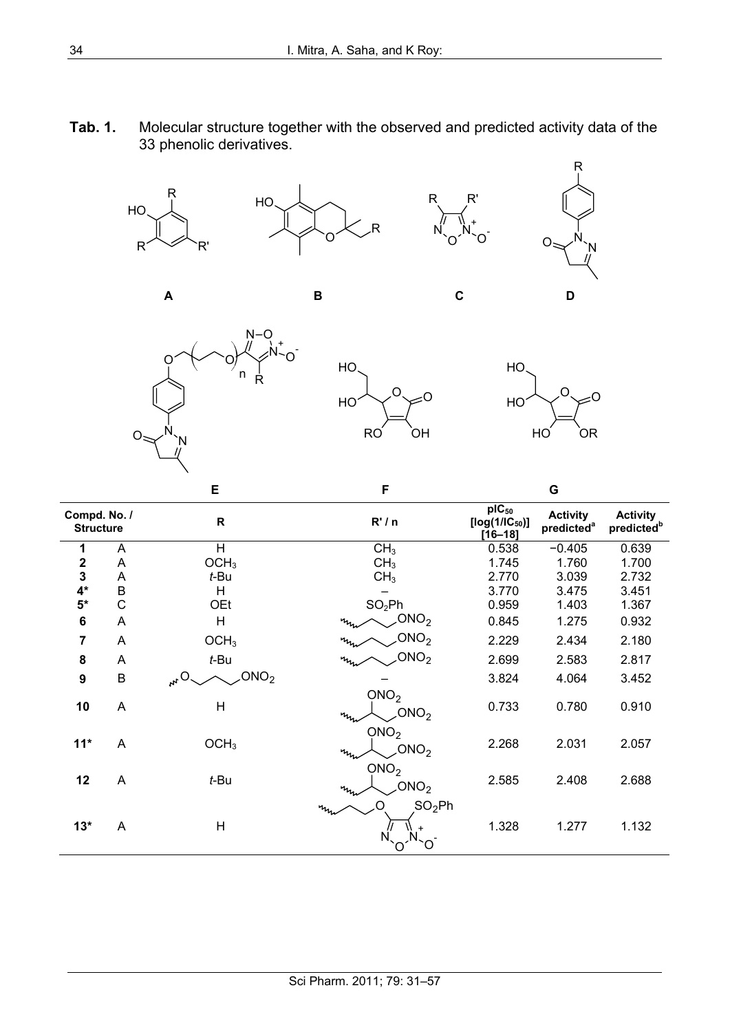**Tab. 1.** Molecular structure together with the observed and predicted activity data of the 33 phenolic derivatives.



**A BC**





O  $\stackrel{+}{\mathsf{N}_{-}}$ 

 $\overline{O}$ 

R R'



N

**D**

R

 $\mathcal{O}_1$ 

|                                  |         | Е                                           | F                                                       |       | G                                         |                                           |
|----------------------------------|---------|---------------------------------------------|---------------------------------------------------------|-------|-------------------------------------------|-------------------------------------------|
| Compd. No. /<br><b>Structure</b> |         | $\mathsf{R}$                                | R'/n                                                    |       | <b>Activity</b><br>predicted <sup>a</sup> | <b>Activity</b><br>predicted <sup>b</sup> |
| 1                                | A       | H                                           | CH <sub>3</sub>                                         | 0.538 | $-0.405$                                  | 0.639                                     |
| 2                                | A       | OCH <sub>3</sub>                            | CH <sub>3</sub>                                         | 1.745 | 1.760                                     | 1.700                                     |
| 3                                | A       | t-Bu                                        | CH <sub>3</sub>                                         | 2.770 | 3.039                                     | 2.732                                     |
| $4*$                             | $\sf B$ | H                                           |                                                         | 3.770 | 3.475                                     | 3.451                                     |
| $5*$                             | C       | <b>OEt</b>                                  | SO <sub>2</sub> Ph                                      | 0.959 | 1.403                                     | 1.367                                     |
| $6\phantom{1}6$                  | Α       | H                                           | .0NO <sub>2</sub><br>$n_{\mu}$                          | 0.845 | 1.275                                     | 0.932                                     |
| 7                                | A       | OCH <sub>3</sub>                            | ONO <sub>2</sub><br>$n_{\rm H}$                         | 2.229 | 2.434                                     | 2.180                                     |
| 8                                | A       | t-Bu                                        | .0NO <sub>2</sub><br>$n_{\rm H_{1}}$                    | 2.699 | 2.583                                     | 2.817                                     |
| $\boldsymbol{9}$                 | $\sf B$ | .0NO <sub>2</sub><br>$O_{\nu_{\mathbf{v}}}$ |                                                         | 3.824 | 4.064                                     | 3.452                                     |
| 10                               | A       | $\mathsf{H}$                                | ONO <sub>2</sub><br>ONO <sub>2</sub><br>$n_{\mu}$       | 0.733 | 0.780                                     | 0.910                                     |
| $11*$                            | A       | OCH <sub>3</sub>                            | ONO <sub>2</sub><br>.0NO <sub>2</sub><br>m              | 2.268 | 2.031                                     | 2.057                                     |
| 12                               | A       | t-Bu                                        | ONO <sub>2</sub><br>.0NO <sub>2</sub><br><sup>n</sup> m | 2.585 | 2.408                                     | 2.688                                     |
| $13*$                            | Α       | Η                                           | SO <sub>2</sub> Ph<br>∩<br>$n_{\mu}$<br>N<br>Ω          | 1.328 | 1.277                                     | 1.132                                     |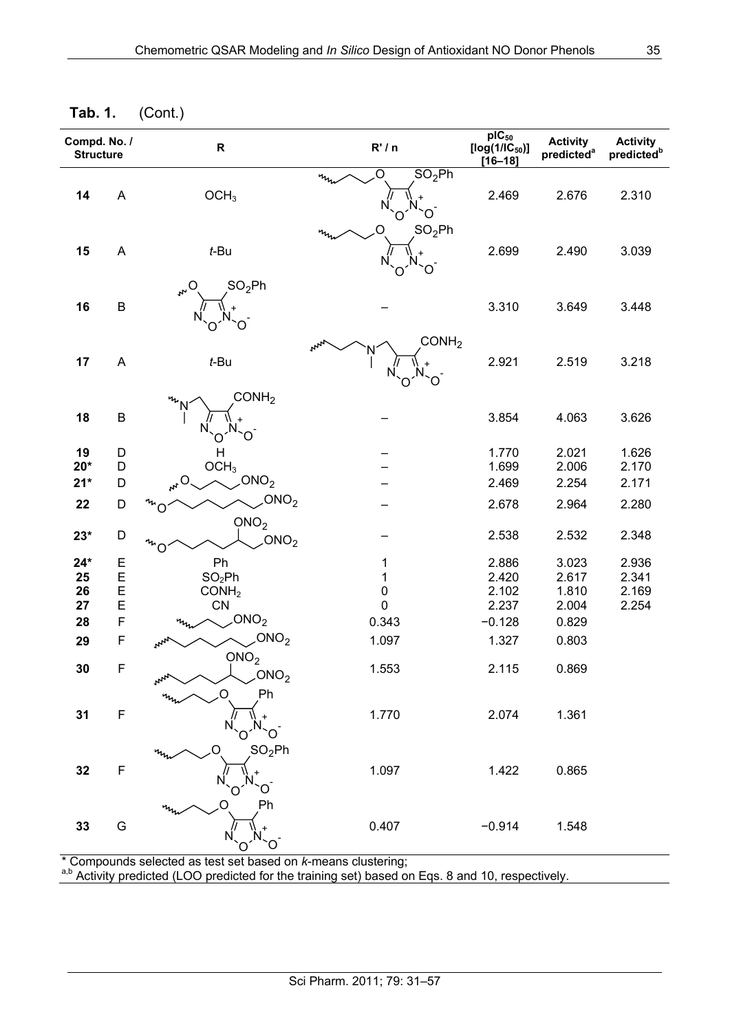| Compd. No. /<br><b>Structure</b> |              | ${\sf R}$                                                    | R'/n                                | $pIC_{50}$<br>$[log(1/IC_{50})]$<br>$[16 - 18]$ | <b>Activity</b><br>predicted <sup>a</sup> | <b>Activity</b><br>$\boldsymbol{\mathsf{predicted}}^{\boldsymbol{\mathsf{b}}}$ |
|----------------------------------|--------------|--------------------------------------------------------------|-------------------------------------|-------------------------------------------------|-------------------------------------------|--------------------------------------------------------------------------------|
|                                  |              |                                                              | $SO_2$ Ph<br>O<br>$n_{\mathcal{H}}$ |                                                 |                                           |                                                                                |
| 14                               | A            | OCH <sub>3</sub>                                             | N<br>O<br>( )                       | 2.469                                           | 2.676                                     | 2.310                                                                          |
|                                  |              |                                                              | SO <sub>2</sub> Ph<br>O<br>ч        |                                                 |                                           |                                                                                |
| 15                               | A            | $t$ -Bu                                                      |                                     | 2.699                                           | 2.490                                     | 3.039                                                                          |
|                                  |              | $SO2$ Ph<br>$O_{\nu_{\mathcal{U}}}$                          |                                     |                                                 |                                           |                                                                                |
| 16                               | $\mathsf B$  |                                                              |                                     | 3.310                                           | 3.649                                     | 3.448                                                                          |
|                                  |              |                                                              | COMH <sub>2</sub>                   |                                                 |                                           |                                                                                |
| 17                               | A            | $t$ -Bu                                                      | O                                   | 2.921                                           | 2.519                                     | 3.218                                                                          |
|                                  |              | COMH <sub>2</sub>                                            |                                     |                                                 |                                           |                                                                                |
| 18                               | $\sf B$      | O                                                            |                                     | 3.854                                           | 4.063                                     | 3.626                                                                          |
| 19                               | D            | Н                                                            |                                     | 1.770                                           | 2.021                                     | 1.626                                                                          |
| $20*$                            | D            | OCH <sub>3</sub><br>ONO <sub>2</sub>                         |                                     | 1.699                                           | 2.006                                     | 2.170                                                                          |
| $21*$                            | D            | $O_{\nu_{\mathbf{A}}}$<br>ONO <sub>2</sub>                   |                                     | 2.469                                           | 2.254                                     | 2.171                                                                          |
| 22                               | D            | $n_{\mu}$<br>O                                               |                                     | 2.678                                           | 2.964                                     | 2.280                                                                          |
| $23*$                            | D            | ONO <sub>2</sub><br>ONO <sub>2</sub><br>$n_{\rm 0}$          |                                     | 2.538                                           | 2.532                                     | 2.348                                                                          |
| $24*$                            | E            | Ph                                                           | 1                                   | 2.886                                           | 3.023                                     | 2.936                                                                          |
| 25                               | E            | SO <sub>2</sub> Ph                                           | $\mathbf 1$                         | 2.420                                           | 2.617                                     | 2.341                                                                          |
| 26                               | E<br>E       | COMH <sub>2</sub>                                            | $\pmb{0}$                           | 2.102                                           | 1.810                                     | 2.169                                                                          |
| 27                               | $\mathsf F$  | CN<br>ONO <sub>2</sub>                                       | $\mathbf 0$                         | 2.237                                           | 2.004                                     | 2.254                                                                          |
| 28                               |              | $n_{\rm L}$                                                  | 0.343                               | $-0.128$                                        | 0.829                                     |                                                                                |
| 29                               | $\mathsf{F}$ | ONO <sub>2</sub><br>$n^{1/2}$<br>ONO <sub>2</sub>            | 1.097                               | 1.327                                           | 0.803                                     |                                                                                |
| 30                               | $\mathsf F$  | ONO <sub>2</sub><br>$n^{1/2}$                                | 1.553                               | 2.115                                           | 0.869                                     |                                                                                |
|                                  |              | Ph<br>O                                                      |                                     |                                                 |                                           |                                                                                |
| 31                               | $\mathsf F$  |                                                              | 1.770                               | 2.074                                           | 1.361                                     |                                                                                |
|                                  |              | SO <sub>2</sub> Ph                                           |                                     |                                                 |                                           |                                                                                |
| 32                               | $\mathsf F$  |                                                              | 1.097                               | 1.422                                           | 0.865                                     |                                                                                |
|                                  |              | Ph                                                           |                                     |                                                 |                                           |                                                                                |
| 33                               | G            |                                                              | 0.407                               | $-0.914$                                        | 1.548                                     |                                                                                |
|                                  |              | * Compounds selected as test set based on k-means clustering |                                     |                                                 |                                           |                                                                                |

| (Cont.) |
|---------|
|         |

\* Compounds selected as test set based on *k*-means clustering; a,b Activity predicted (LOO predicted for the training set) based on Eqs. 8 and 10, respectively.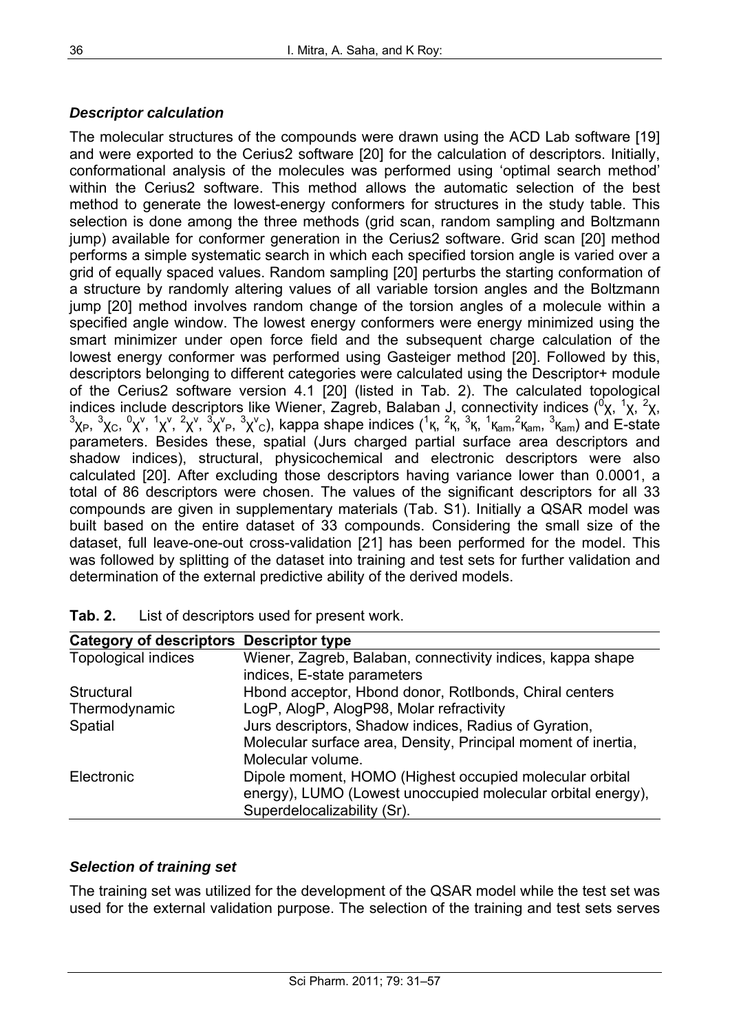The molecular structures of the compounds were drawn using the ACD Lab software [19] and were exported to the Cerius2 software [20] for the calculation of descriptors. Initially, conformational analysis of the molecules was performed using 'optimal search method' within the Cerius2 software. This method allows the automatic selection of the best method to generate the lowest-energy conformers for structures in the study table. This selection is done among the three methods (grid scan, random sampling and Boltzmann jump) available for conformer generation in the Cerius2 software. Grid scan [20] method performs a simple systematic search in which each specified torsion angle is varied over a grid of equally spaced values. Random sampling [20] perturbs the starting conformation of a structure by randomly altering values of all variable torsion angles and the Boltzmann jump [20] method involves random change of the torsion angles of a molecule within a specified angle window. The lowest energy conformers were energy minimized using the smart minimizer under open force field and the subsequent charge calculation of the lowest energy conformer was performed using Gasteiger method [20]. Followed by this, descriptors belonging to different categories were calculated using the Descriptor+ module of the Cerius2 software version 4.1 [20] (listed in Tab. 2). The calculated topological indices include descriptors like Wiener, Zagreb, Balaban J, connectivity indices  $({}^{0}\mathsf{X},{}^{1}\mathsf{X},{}^{2}\mathsf{X}, {}^{3}\mathsf{X}, {}^{1}\mathsf{X},{}^{2}\mathsf{X}, {}^{3}\mathsf{X}, {}^{1}\mathsf{X},{}^{2}\mathsf{X})$   $\mathsf{Y}$  and  $\mathsf{Y}$   $\mathsf{Y}$   $\mathsf{Y}$   $\mathsf{Y}$   $\mathsf{Y$  $\chi_P$ ,  ${}^3\chi_C$ ,  ${}^0\chi^V$ ,  ${}^1\chi^V$ ,  ${}^2\chi^V$ ,  ${}^3\chi^V$ <sub>C</sub>), kappa shape indices ( ${}^1$ κ,  ${}^2$ κ,  ${}^3$ κ,  ${}^1$ κ<sub>am</sub>, ${}^2$ κ<sub>am</sub>,  ${}^3$ κ<sub>am</sub>) and E-state parameters. Besides these, spatial (Jurs charged partial surface area descriptors and shadow indices), structural, physicochemical and electronic descriptors were also calculated [20]. After excluding those descriptors having variance lower than 0.0001, a total of 86 descriptors were chosen. The values of the significant descriptors for all 33 compounds are given in supplementary materials (Tab. S1). Initially a QSAR model was built based on the entire dataset of 33 compounds. Considering the small size of the dataset, full leave-one-out cross-validation [21] has been performed for the model. This was followed by splitting of the dataset into training and test sets for further validation and determination of the external predictive ability of the derived models.

| <b>Category of descriptors Descriptor type</b> |                                                               |
|------------------------------------------------|---------------------------------------------------------------|
| <b>Topological indices</b>                     | Wiener, Zagreb, Balaban, connectivity indices, kappa shape    |
|                                                | indices, E-state parameters                                   |
| Structural                                     | Hbond acceptor, Hbond donor, Rotlbonds, Chiral centers        |
| Thermodynamic                                  | LogP, AlogP, AlogP98, Molar refractivity                      |
| Spatial                                        | Jurs descriptors, Shadow indices, Radius of Gyration,         |
|                                                | Molecular surface area, Density, Principal moment of inertia, |
|                                                | Molecular volume.                                             |
| Electronic                                     | Dipole moment, HOMO (Highest occupied molecular orbital       |
|                                                | energy), LUMO (Lowest unoccupied molecular orbital energy),   |
|                                                | Superdelocalizability (Sr).                                   |

**Tab. 2.** List of descriptors used for present work.

#### *Selection of training set*

The training set was utilized for the development of the QSAR model while the test set was used for the external validation purpose. The selection of the training and test sets serves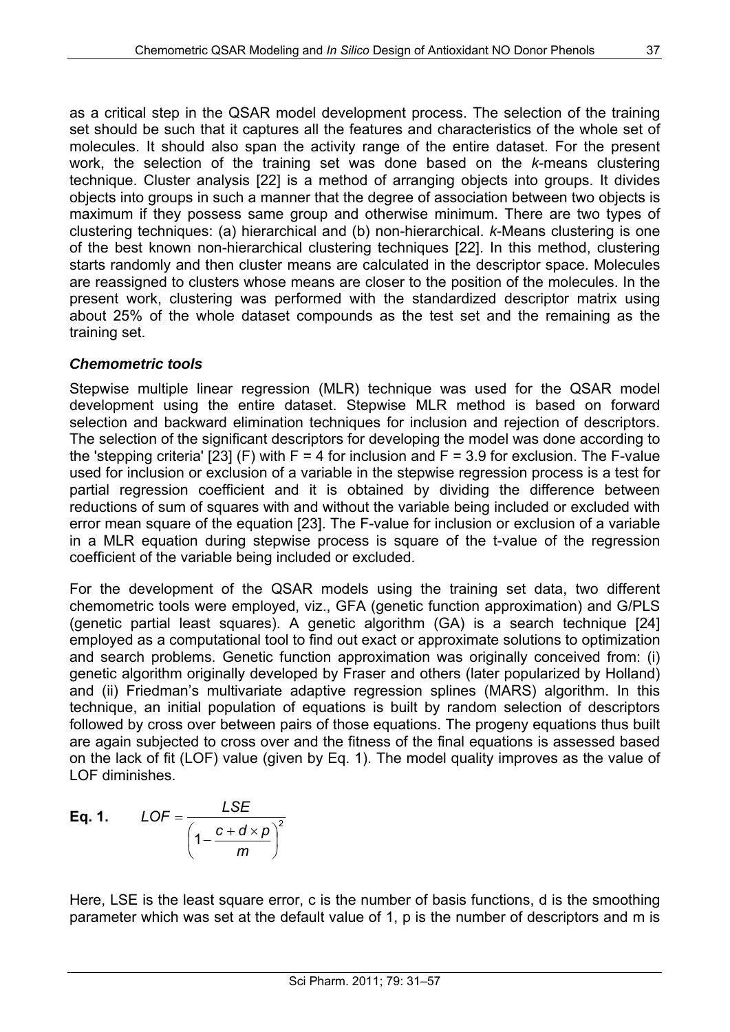as a critical step in the QSAR model development process. The selection of the training set should be such that it captures all the features and characteristics of the whole set of molecules. It should also span the activity range of the entire dataset. For the present work, the selection of the training set was done based on the *k*-means clustering technique. Cluster analysis [22] is a method of arranging objects into groups. It divides objects into groups in such a manner that the degree of association between two objects is maximum if they possess same group and otherwise minimum. There are two types of clustering techniques: (a) hierarchical and (b) non-hierarchical. *k*-Means clustering is one of the best known non-hierarchical clustering techniques [22]. In this method, clustering starts randomly and then cluster means are calculated in the descriptor space. Molecules are reassigned to clusters whose means are closer to the position of the molecules. In the present work, clustering was performed with the standardized descriptor matrix using about 25% of the whole dataset compounds as the test set and the remaining as the training set.

#### *Chemometric tools*

Stepwise multiple linear regression (MLR) technique was used for the QSAR model development using the entire dataset. Stepwise MLR method is based on forward selection and backward elimination techniques for inclusion and rejection of descriptors. The selection of the significant descriptors for developing the model was done according to the 'stepping criteria'  $[23]$  (F) with F = 4 for inclusion and F = 3.9 for exclusion. The F-value used for inclusion or exclusion of a variable in the stepwise regression process is a test for partial regression coefficient and it is obtained by dividing the difference between reductions of sum of squares with and without the variable being included or excluded with error mean square of the equation [23]. The F-value for inclusion or exclusion of a variable in a MLR equation during stepwise process is square of the t-value of the regression coefficient of the variable being included or excluded.

For the development of the QSAR models using the training set data, two different chemometric tools were employed, viz., GFA (genetic function approximation) and G/PLS (genetic partial least squares). A genetic algorithm (GA) is a search technique [24] employed as a computational tool to find out exact or approximate solutions to optimization and search problems. Genetic function approximation was originally conceived from: (i) genetic algorithm originally developed by Fraser and others (later popularized by Holland) and (ii) Friedman's multivariate adaptive regression splines (MARS) algorithm. In this technique, an initial population of equations is built by random selection of descriptors followed by cross over between pairs of those equations. The progeny equations thus built are again subjected to cross over and the fitness of the final equations is assessed based on the lack of fit (LOF) value (given by Eq. 1). The model quality improves as the value of LOF diminishes.

**Eq. 1.** 
$$
LOF = \frac{LSE}{\left(1 - \frac{c + d \times p}{m}\right)^2}
$$

Here, LSE is the least square error, c is the number of basis functions, d is the smoothing parameter which was set at the default value of 1, p is the number of descriptors and m is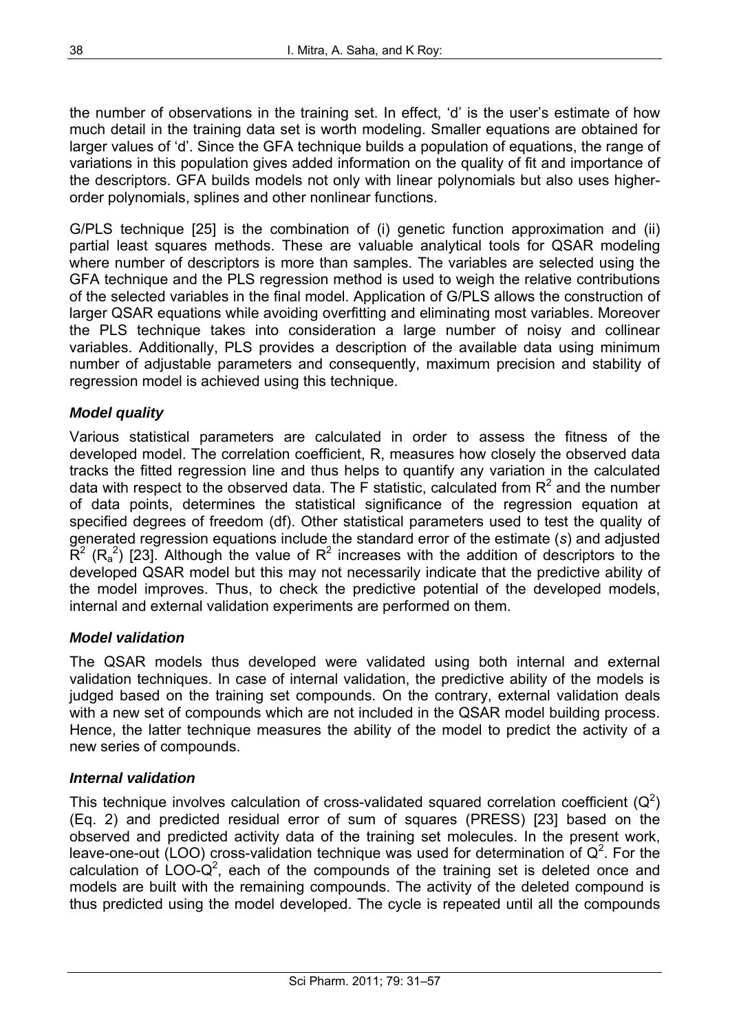the number of observations in the training set. In effect, 'd' is the user's estimate of how much detail in the training data set is worth modeling. Smaller equations are obtained for larger values of 'd'. Since the GFA technique builds a population of equations, the range of variations in this population gives added information on the quality of fit and importance of the descriptors. GFA builds models not only with linear polynomials but also uses higherorder polynomials, splines and other nonlinear functions.

G/PLS technique [25] is the combination of (i) genetic function approximation and (ii) partial least squares methods. These are valuable analytical tools for QSAR modeling where number of descriptors is more than samples. The variables are selected using the GFA technique and the PLS regression method is used to weigh the relative contributions of the selected variables in the final model. Application of G/PLS allows the construction of larger QSAR equations while avoiding overfitting and eliminating most variables. Moreover the PLS technique takes into consideration a large number of noisy and collinear variables. Additionally, PLS provides a description of the available data using minimum number of adjustable parameters and consequently, maximum precision and stability of regression model is achieved using this technique.

#### *Model quality*

Various statistical parameters are calculated in order to assess the fitness of the developed model. The correlation coefficient, R, measures how closely the observed data tracks the fitted regression line and thus helps to quantify any variation in the calculated data with respect to the observed data. The  $\overline{F}$  statistic, calculated from  $R^2$  and the number of data points, determines the statistical significance of the regression equation at specified degrees of freedom (df). Other statistical parameters used to test the quality of generated regression equations include the standard error of the estimate (*s*) and adjusted  $\overline{R}^2$  ( $R_a^2$ ) [23]. Although the value of  $R^2$  increases with the addition of descriptors to the developed QSAR model but this may not necessarily indicate that the predictive ability of the model improves. Thus, to check the predictive potential of the developed models, internal and external validation experiments are performed on them.

#### *Model validation*

The QSAR models thus developed were validated using both internal and external validation techniques. In case of internal validation, the predictive ability of the models is judged based on the training set compounds. On the contrary, external validation deals with a new set of compounds which are not included in the QSAR model building process. Hence, the latter technique measures the ability of the model to predict the activity of a new series of compounds.

#### *Internal validation*

This technique involves calculation of cross-validated squared correlation coefficient  $(Q^2)$ (Eq. 2) and predicted residual error of sum of squares (PRESS) [23] based on the observed and predicted activity data of the training set molecules. In the present work, leave-one-out (LOO) cross-validation technique was used for determination of  $Q^2$ . For the calculation of  $LOO-Q^2$ , each of the compounds of the training set is deleted once and models are built with the remaining compounds. The activity of the deleted compound is thus predicted using the model developed. The cycle is repeated until all the compounds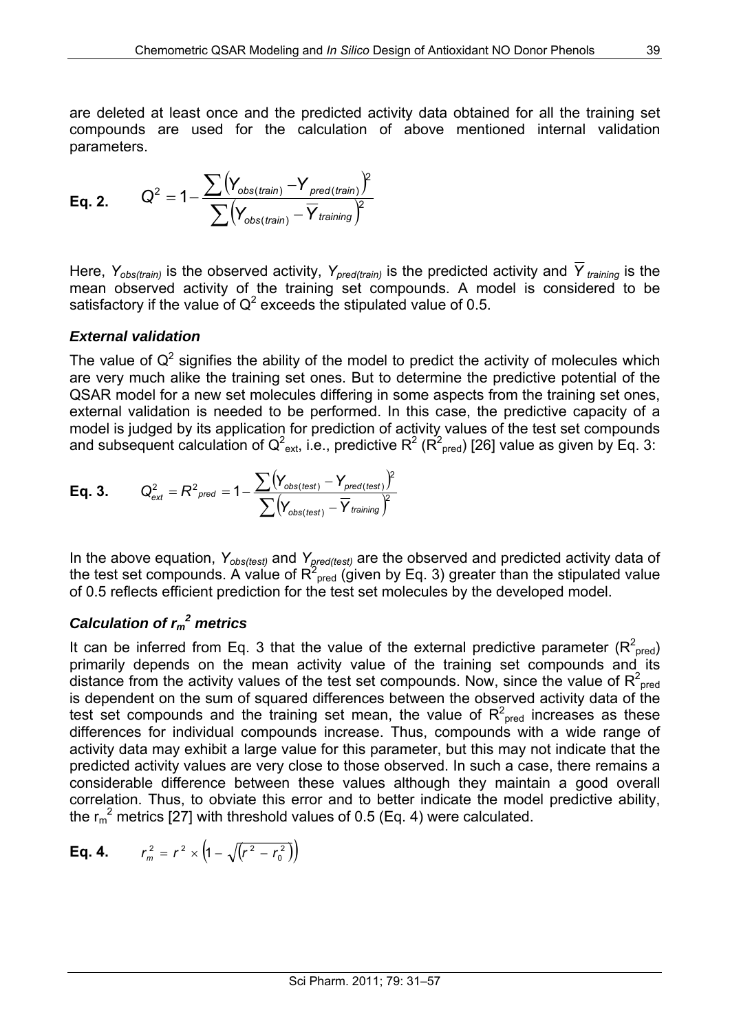are deleted at least once and the predicted activity data obtained for all the training set compounds are used for the calculation of above mentioned internal validation parameters.

$$
\text{Eq. 2.}} \qquad Q^2 = 1 - \frac{\sum \left( Y_{\text{obs}(\text{train})} - Y_{\text{pred}(\text{train})} \right)^2}{\sum \left( Y_{\text{obs}(\text{train})} - \overline{Y}_{\text{training}} \right)^2}
$$

Here,  $Y_{obs(train)}$  is the observed activity,  $Y_{pred(train)}$  is the predicted activity and  $\overline{Y}_{training}$  is the mean observed activity of the training set compounds. A model is considered to be satisfactory if the value of  $Q^2$  exceeds the stipulated value of 0.5.

#### *External validation*

The value of  $Q^2$  signifies the ability of the model to predict the activity of molecules which are very much alike the training set ones. But to determine the predictive potential of the QSAR model for a new set molecules differing in some aspects from the training set ones, external validation is needed to be performed. In this case, the predictive capacity of a model is judged by its application for prediction of activity values of the test set compounds and subsequent calculation of  $Q^2_{ext}$ , i.e., predictive  $R^2$  ( $\overline{R^2}_{pred}$ ) [26] value as given by Eq. 3:

$$
\textbf{Eq. 3.} \qquad \textbf{Q}_{\text{ext}}^2 = R^2_{\text{pred}} = 1 - \frac{\sum (Y_{\text{obs(test)}} - Y_{\text{pred(test})})^2}{\sum (Y_{\text{obs(test)}} - Y_{\text{training}})^2}
$$

In the above equation, *Yobs(test)* and *Ypred(test)* are the observed and predicted activity data of the test set compounds. A value of  $R^2$ <sub>pred</sub> (given by Eq. 3) greater than the stipulated value of 0.5 reflects efficient prediction for the test set molecules by the developed model.

#### *Calculation of r***<sub>m</sub><sup>2</sup> metrics**

It can be inferred from Eq. 3 that the value of the external predictive parameter ( $R^2_{\text{pred}}$ ) primarily depends on the mean activity value of the training set compounds and its distance from the activity values of the test set compounds. Now, since the value of  $R^2_{\text{ pred}}$ is dependent on the sum of squared differences between the observed activity data of the test set compounds and the training set mean, the value of  $R^2_{\text{pred}}$  increases as these differences for individual compounds increase. Thus, compounds with a wide range of activity data may exhibit a large value for this parameter, but this may not indicate that the predicted activity values are very close to those observed. In such a case, there remains a considerable difference between these values although they maintain a good overall correlation. Thus, to obviate this error and to better indicate the model predictive ability, the  $r_m^2$  metrics [27] with threshold values of 0.5 (Eq. 4) were calculated.

**Eq. 4.** 
$$
r_m^2 = r^2 \times \left(1 - \sqrt{(r^2 - r_0^2)}\right)
$$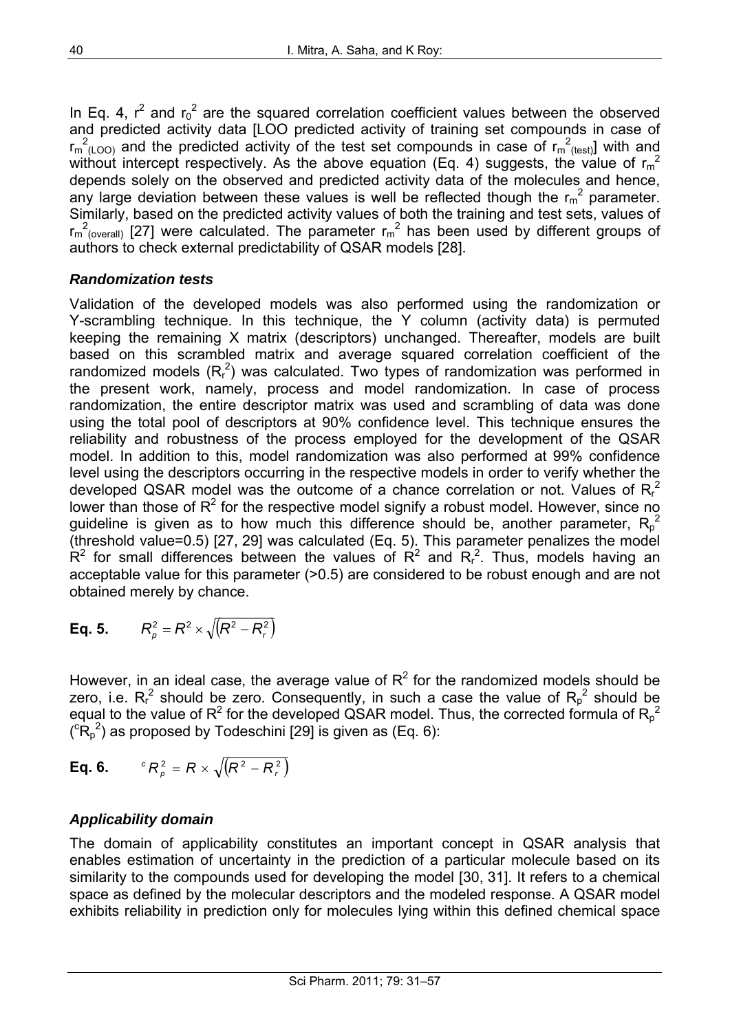In Eq. 4,  $r^2$  and  $r_0^2$  are the squared correlation coefficient values between the observed and predicted activity data [LOO predicted activity of training set compounds in case of  $r_m^2$ <sub>(LOO)</sub> and the predicted activity of the test set compounds in case of  $r_m^2$ <sub>(test)</sub>] with and without intercept respectively. As the above equation (Eq. 4) suggests, the value of  $r_m^2$ depends solely on the observed and predicted activity data of the molecules and hence, any large deviation between these values is well be reflected though the  $r_m^2$  parameter. Similarly, based on the predicted activity values of both the training and test sets, values of  $r_m^2$ <sub>(overall)</sub> [27] were calculated. The parameter  $r_m^2$  has been used by different groups of authors to check external predictability of QSAR models [28].

#### *Randomization tests*

Validation of the developed models was also performed using the randomization or Y-scrambling technique. In this technique, the Y column (activity data) is permuted keeping the remaining X matrix (descriptors) unchanged. Thereafter, models are built based on this scrambled matrix and average squared correlation coefficient of the randomized models  $(R_r^2)$  was calculated. Two types of randomization was performed in the present work, namely, process and model randomization. In case of process randomization, the entire descriptor matrix was used and scrambling of data was done using the total pool of descriptors at 90% confidence level. This technique ensures the reliability and robustness of the process employed for the development of the QSAR model. In addition to this, model randomization was also performed at 99% confidence level using the descriptors occurring in the respective models in order to verify whether the developed QSAR model was the outcome of a chance correlation or not. Values of  $R_f^2$ lower than those of  $R^2$  for the respective model signify a robust model. However, since no guideline is given as to how much this difference should be, another parameter,  $R_p^2$ (threshold value=0.5) [27, 29] was calculated (Eq. 5). This parameter penalizes the model  $R^2$  for small differences between the values of  $R^2$  and  $R_r^2$ . Thus, models having an acceptable value for this parameter (>0.5) are considered to be robust enough and are not obtained merely by chance.

**Eq. 5.** 
$$
R_{\rho}^2 = R^2 \times \sqrt{R^2 - R_r^2}
$$

However, in an ideal case, the average value of  $R^2$  for the randomized models should be zero, i.e.  $R_r^2$  should be zero. Consequently, in such a case the value of  $R_p^2$  should be equal to the value of R<sup>2</sup> for the developed QSAR model. Thus, the corrected formula of R<sub>p</sub><sup>2</sup>  $({}^c\dot{R}_p^2)$  as proposed by Todeschini [29] is given as (Eq. 6):

$$
\textsf{Eq. 6.} \qquad {}^{c}R_{\rho}^{2}=R\times\sqrt{\left(R^{2}-R_{r}^{2}\right)}
$$

#### *Applicability domain*

The domain of applicability constitutes an important concept in QSAR analysis that enables estimation of uncertainty in the prediction of a particular molecule based on its similarity to the compounds used for developing the model [30, 31]. It refers to a chemical space as defined by the molecular descriptors and the modeled response. A QSAR model exhibits reliability in prediction only for molecules lying within this defined chemical space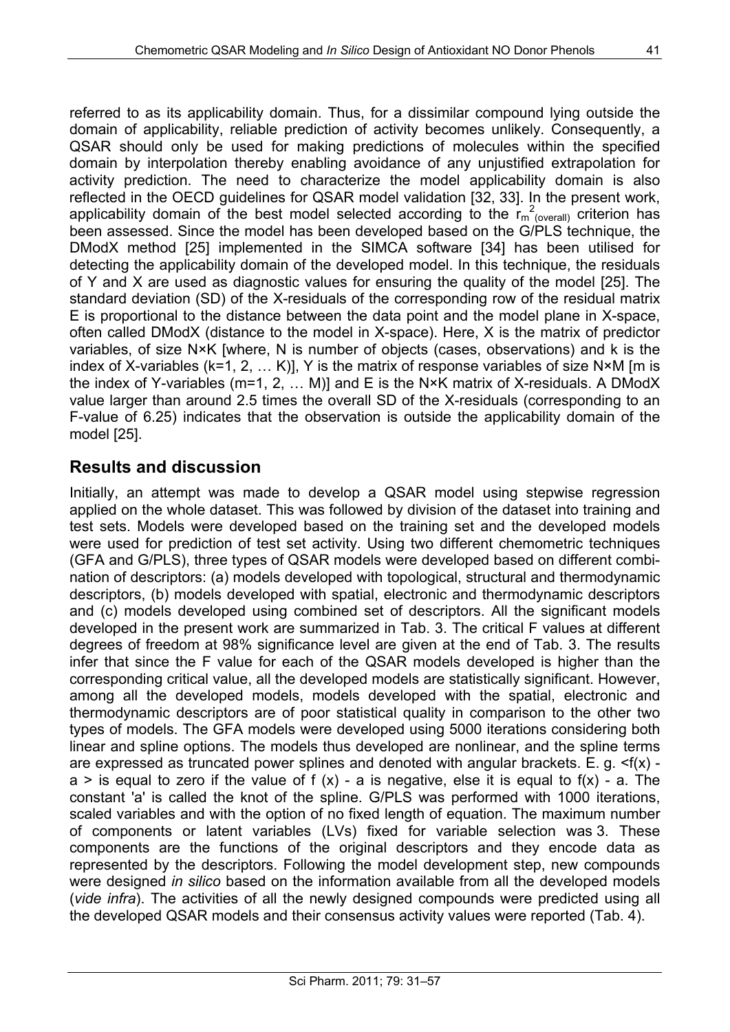referred to as its applicability domain. Thus, for a dissimilar compound lying outside the domain of applicability, reliable prediction of activity becomes unlikely. Consequently, a QSAR should only be used for making predictions of molecules within the specified domain by interpolation thereby enabling avoidance of any unjustified extrapolation for activity prediction. The need to characterize the model applicability domain is also reflected in the OECD guidelines for QSAR model validation [32, 33]. In the present work, applicability domain of the best model selected according to the  $r_m^2$ <sub>(overall)</sub> criterion has been assessed. Since the model has been developed based on the G/PLS technique, the DModX method [25] implemented in the SIMCA software [34] has been utilised for detecting the applicability domain of the developed model. In this technique, the residuals of Y and X are used as diagnostic values for ensuring the quality of the model [25]. The standard deviation (SD) of the X-residuals of the corresponding row of the residual matrix E is proportional to the distance between the data point and the model plane in X-space, often called DModX (distance to the model in X-space). Here, X is the matrix of predictor variables, of size N×K [where, N is number of objects (cases, observations) and k is the index of X-variables (k=1, 2,  $\dots$  K)], Y is the matrix of response variables of size N×M [m is the index of Y-variables (m=1, 2, … M)] and E is the N×K matrix of X-residuals. A DModX value larger than around 2.5 times the overall SD of the X-residuals (corresponding to an F-value of 6.25) indicates that the observation is outside the applicability domain of the model [25].

## **Results and discussion**

Initially, an attempt was made to develop a QSAR model using stepwise regression applied on the whole dataset. This was followed by division of the dataset into training and test sets. Models were developed based on the training set and the developed models were used for prediction of test set activity. Using two different chemometric techniques (GFA and G/PLS), three types of QSAR models were developed based on different combination of descriptors: (a) models developed with topological, structural and thermodynamic descriptors, (b) models developed with spatial, electronic and thermodynamic descriptors and (c) models developed using combined set of descriptors. All the significant models developed in the present work are summarized in Tab. 3. The critical F values at different degrees of freedom at 98% significance level are given at the end of Tab. 3. The results infer that since the F value for each of the QSAR models developed is higher than the corresponding critical value, all the developed models are statistically significant. However, among all the developed models, models developed with the spatial, electronic and thermodynamic descriptors are of poor statistical quality in comparison to the other two types of models. The GFA models were developed using 5000 iterations considering both linear and spline options. The models thus developed are nonlinear, and the spline terms are expressed as truncated power splines and denoted with angular brackets. E. g.  $\leq f(x)$   $a >$  is equal to zero if the value of f  $(x)$  - a is negative, else it is equal to f $(x)$  - a. The constant 'a' is called the knot of the spline. G/PLS was performed with 1000 iterations, scaled variables and with the option of no fixed length of equation. The maximum number of components or latent variables (LVs) fixed for variable selection was 3. These components are the functions of the original descriptors and they encode data as represented by the descriptors. Following the model development step, new compounds were designed *in silico* based on the information available from all the developed models (*vide infra*). The activities of all the newly designed compounds were predicted using all the developed QSAR models and their consensus activity values were reported (Tab. 4).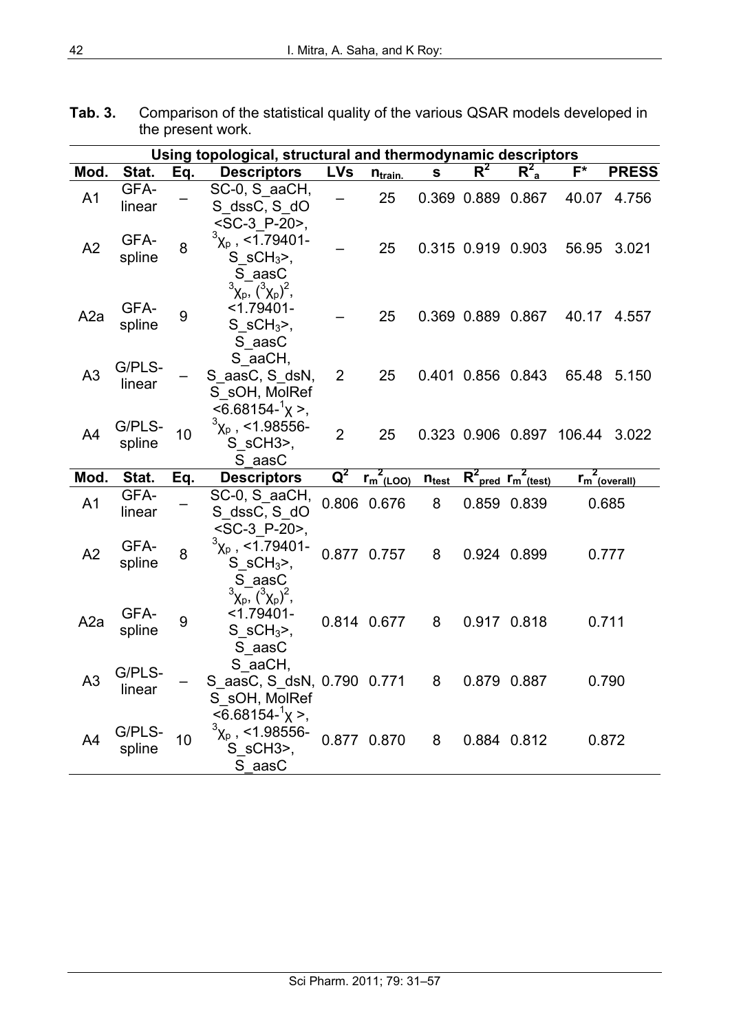|                  |                  |     | Using topological, structural and thermodynamic descriptors                                                   |                |                          |                   |                   |                                        |                                |                                   |
|------------------|------------------|-----|---------------------------------------------------------------------------------------------------------------|----------------|--------------------------|-------------------|-------------------|----------------------------------------|--------------------------------|-----------------------------------|
| Mod.             | Stat.            | Eq. | <b>Descriptors</b>                                                                                            | <b>LVs</b>     | $n_{train.}$             | $\mathbf{s}$      | $R^2$             | $R^2$                                  | F*                             | <b>PRESS</b>                      |
| A <sub>1</sub>   | GFA-<br>linear   |     | SC-0, S aaCH,<br>S_dssC, S_dO<br><sc-3 p-20="">,</sc-3>                                                       |                | 25                       |                   |                   | 0.369 0.889 0.867                      | 40.07                          | 4.756                             |
| A2               | GFA-<br>spline   | 8   | $3\chi_{\rm p}$ , <1.79401-<br>S $sCH3$ ,<br>S aasC                                                           |                | 25                       |                   | 0.315 0.919 0.903 |                                        |                                | 56.95 3.021                       |
| A <sub>2</sub> a | GFA-<br>spline   | 9   | $^{3}X_{p}$ , $(^{3}X_{p})^{2}$ ,<br>$< 1.79401 -$<br>S $sCH3$ ,<br>S aasC                                    |                | 25                       |                   |                   | 0.369 0.889 0.867                      |                                | 40.17 4.557                       |
| A3               | G/PLS-<br>linear |     | S aaCH,<br>S_aasC, S_dsN,<br>S sOH, MolRef                                                                    | $\overline{2}$ | 25                       |                   |                   | 0.401 0.856 0.843                      |                                | 65.48 5.150                       |
| A4               | G/PLS-<br>spline | 10  | $<$ 6.68154- <sup>1</sup> x >,<br>$\mathrm{^{3}X_{p}}$ , <1.98556-<br>$S$ sCH3>,<br>S aasC                    | $\overline{2}$ | 25                       |                   |                   |                                        | 0.323 0.906 0.897 106.44 3.022 |                                   |
| Mod.             | Stat.            | Eq. | <b>Descriptors</b>                                                                                            | $\mathbf{Q}^2$ | $r_m^2$ <sub>(LOO)</sub> | $n_{\text{test}}$ |                   | $\overline{R^2}_{pred}$ $r_m^2$ (test) | 2                              | $r_{\frac{m}{2}(\text{overall})}$ |
| A <sub>1</sub>   | GFA-<br>linear   |     | SC-0, S aaCH,<br>S dssC, S dO                                                                                 |                | 0.806 0.676              | 8                 |                   | 0.859 0.839                            |                                | 0.685                             |
| A2               | GFA-<br>spline   | 8   | <sc-3 p-20="">,<br/><math>\mathrm{^{3}X_{p}}</math> , &lt;1.79401-<br/>S <math>sCH3</math>,<br/>S aasC</sc-3> |                | 0.877 0.757              | 8                 |                   | 0.924 0.899                            | 0.777                          |                                   |
| A <sub>2</sub> a | GFA-<br>spline   | 9   | $3\chi_{p}$ , $(3\chi_{p})^{2}$ ,<br>$<$ 1.79401-<br>S $sCH3$ ,<br>S aasC                                     |                | 0.814 0.677              | 8                 |                   | 0.917 0.818                            |                                | 0.711                             |
| A3               | G/PLS-<br>linear |     | S aaCH,<br>S aasC, S dsN, 0.790 0.771<br>S sOH, MolRef                                                        |                |                          | 8                 |                   | 0.879 0.887                            | 0.790                          |                                   |
| A4               | G/PLS-<br>spline | 10  | $<$ 6.68154- $\frac{1}{1}$ x >,<br>$\mathrm{^{3}X_{p}}$ , <1.98556-<br>$S$ sCH3>,<br>S_aasC                   |                | 0.877 0.870              | 8                 |                   | 0.884 0.812                            |                                | 0.872                             |

**Tab. 3.** Comparison of the statistical quality of the various QSAR models developed in the present work.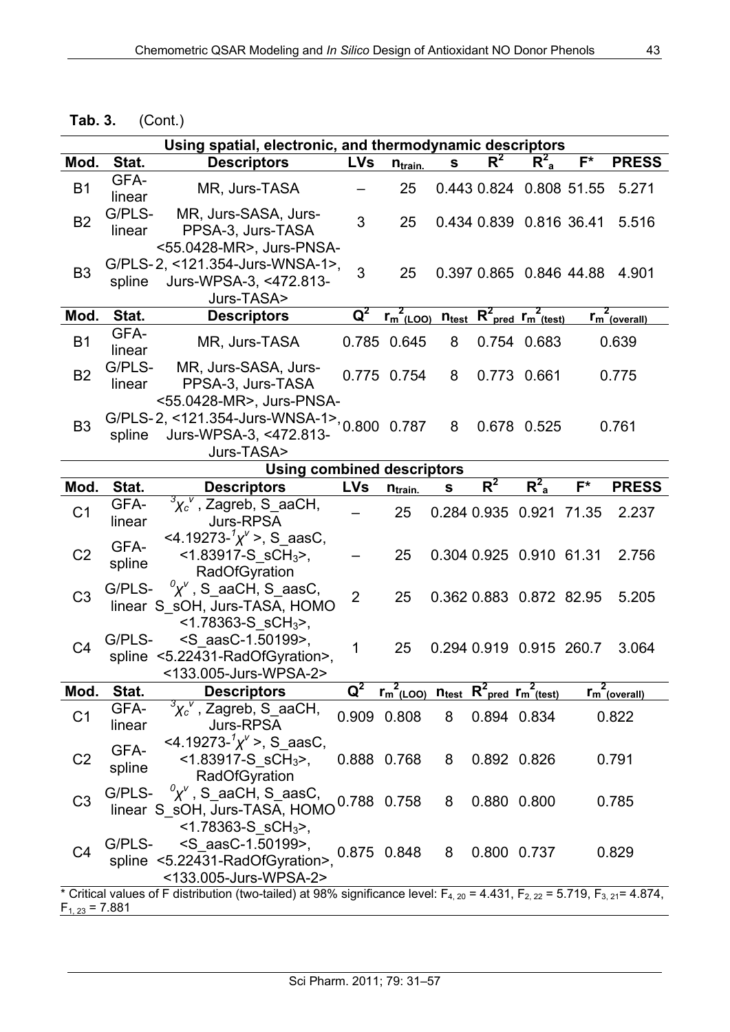# **Tab. 3.** (Cont.)

| $F^*$<br>$R_a^2$<br><b>LVs</b><br>Mod.<br>Stat.<br><b>Descriptors</b><br>$n_{\text{train}}$<br>S<br>GFA-<br>0.443 0.824 0.808 51.55<br>B <sub>1</sub><br>MR, Jurs-TASA<br>25<br>linear<br>G/PLS-<br>MR, Jurs-SASA, Jurs-<br>3<br><b>B2</b><br>25<br>0.434 0.839 0.816 36.41<br>PPSA-3, Jurs-TASA<br>linear<br><55.0428-MR>, Jurs-PNSA-<br>G/PLS-2, <121.354-Jurs-WNSA-1>,<br>3<br>B <sub>3</sub><br>25<br>0.397 0.865 0.846 44.88<br>Jurs-WPSA-3, <472.813-<br>spline<br>Jurs-TASA><br>$R^2_{\text{pred}} r_m^2$ (test)<br>$\mathbf{Q}^2$<br>Stat.<br>Mod.<br><b>Descriptors</b><br>$n_{test}$<br>$r_{m}$ (LOO)<br>$r_{\rm m}$ (overall)<br>GFA-<br><b>B1</b><br>8<br>MR, Jurs-TASA<br>0.785 0.645<br>0.754 0.683<br>0.639<br>linear<br>G/PLS-<br>MR, Jurs-SASA, Jurs-<br><b>B2</b><br>0.775 0.754<br>8<br>0.773 0.661<br>0.775<br>PPSA-3, Jurs-TASA<br>linear<br><55.0428-MR>, Jurs-PNSA-<br>G/PLS-2, <121.354-Jurs-WNSA-1>, 0.800 0.787<br>B <sub>3</sub><br>8<br>0.678 0.525<br>0.761<br>Jurs-WPSA-3, <472.813-<br>spline<br>Jurs-TASA><br><b>Using combined descriptors</b><br>$R^2$<br>$R_a^2$<br>$F^*$<br>Mod.<br>Stat.<br><b>LVs</b><br><b>Descriptors</b><br>${\bf s}$<br>$n_{train.}$<br>$\sigma^3\chi_c{}^v$ , Zagreb, S_aaCH,<br>GFA-<br>C <sub>1</sub><br>25<br>0.284 0.935 0.921<br>71.35<br>Jurs-RPSA<br>linear<br><4.19273- $^{7}x^{v}$ >, S_aasC,<br>GFA-<br>C <sub>2</sub><br><1.83917-S $sCH3$ ,<br>25<br>0.304 0.925 0.910 61.31<br>spline<br>RadOfGyration<br>$\gamma^{\nu}$ , S_aaCH, S_aasC,<br>G/PLS-<br>C <sub>3</sub><br>$\overline{2}$<br>25<br>0.362 0.883 0.872 82.95<br>linear S sOH, Jurs-TASA, HOMO<br>$<$ 1.78363-S sCH <sub>3</sub> >,<br><s aasc-1.50199="">,<br/>G/PLS-<br/>C<sub>4</sub><br/>1<br/>25<br/>0.294 0.919 0.915 260.7<br/>spline &lt;5.22431-RadOfGyration&gt;,<br/>&lt;133.005-Jurs-WPSA-2&gt;<br/><math>r_m^2</math>(LOO) <math>n_{\text{test}}</math> <math>R_{\text{pred}}^2</math> <math>r_m^2</math>(test)<br/>2<br/><math>\mathbf{Q}^2</math><br/>Mod.<br/>Stat.<br/><b>Descriptors</b><br/>I'm<sup>-</sup>(overall)<br/><math>\chi_c</math><sup>v</sup>, Zagreb, S_aaCH,<br/>GFA-<br/>C<sub>1</sub><br/>0.909 0.808<br/>8<br/>0.894 0.834<br/>0.822<br/><b>Jurs-RPSA</b><br/>linear</s> |  | Using spatial, electronic, and thermodynamic descriptors |  |       |  |              |
|-------------------------------------------------------------------------------------------------------------------------------------------------------------------------------------------------------------------------------------------------------------------------------------------------------------------------------------------------------------------------------------------------------------------------------------------------------------------------------------------------------------------------------------------------------------------------------------------------------------------------------------------------------------------------------------------------------------------------------------------------------------------------------------------------------------------------------------------------------------------------------------------------------------------------------------------------------------------------------------------------------------------------------------------------------------------------------------------------------------------------------------------------------------------------------------------------------------------------------------------------------------------------------------------------------------------------------------------------------------------------------------------------------------------------------------------------------------------------------------------------------------------------------------------------------------------------------------------------------------------------------------------------------------------------------------------------------------------------------------------------------------------------------------------------------------------------------------------------------------------------------------------------------------------------------------------------------------------------------------------------------------------------------------------------------------------------------------------------------------------------------------------------------------------------------------------------------------------------------------------------|--|----------------------------------------------------------|--|-------|--|--------------|
|                                                                                                                                                                                                                                                                                                                                                                                                                                                                                                                                                                                                                                                                                                                                                                                                                                                                                                                                                                                                                                                                                                                                                                                                                                                                                                                                                                                                                                                                                                                                                                                                                                                                                                                                                                                                                                                                                                                                                                                                                                                                                                                                                                                                                                                 |  |                                                          |  | $R^2$ |  | <b>PRESS</b> |
|                                                                                                                                                                                                                                                                                                                                                                                                                                                                                                                                                                                                                                                                                                                                                                                                                                                                                                                                                                                                                                                                                                                                                                                                                                                                                                                                                                                                                                                                                                                                                                                                                                                                                                                                                                                                                                                                                                                                                                                                                                                                                                                                                                                                                                                 |  |                                                          |  |       |  | 5.271        |
|                                                                                                                                                                                                                                                                                                                                                                                                                                                                                                                                                                                                                                                                                                                                                                                                                                                                                                                                                                                                                                                                                                                                                                                                                                                                                                                                                                                                                                                                                                                                                                                                                                                                                                                                                                                                                                                                                                                                                                                                                                                                                                                                                                                                                                                 |  |                                                          |  |       |  | 5.516        |
|                                                                                                                                                                                                                                                                                                                                                                                                                                                                                                                                                                                                                                                                                                                                                                                                                                                                                                                                                                                                                                                                                                                                                                                                                                                                                                                                                                                                                                                                                                                                                                                                                                                                                                                                                                                                                                                                                                                                                                                                                                                                                                                                                                                                                                                 |  |                                                          |  |       |  | 4.901        |
|                                                                                                                                                                                                                                                                                                                                                                                                                                                                                                                                                                                                                                                                                                                                                                                                                                                                                                                                                                                                                                                                                                                                                                                                                                                                                                                                                                                                                                                                                                                                                                                                                                                                                                                                                                                                                                                                                                                                                                                                                                                                                                                                                                                                                                                 |  |                                                          |  |       |  |              |
|                                                                                                                                                                                                                                                                                                                                                                                                                                                                                                                                                                                                                                                                                                                                                                                                                                                                                                                                                                                                                                                                                                                                                                                                                                                                                                                                                                                                                                                                                                                                                                                                                                                                                                                                                                                                                                                                                                                                                                                                                                                                                                                                                                                                                                                 |  |                                                          |  |       |  |              |
|                                                                                                                                                                                                                                                                                                                                                                                                                                                                                                                                                                                                                                                                                                                                                                                                                                                                                                                                                                                                                                                                                                                                                                                                                                                                                                                                                                                                                                                                                                                                                                                                                                                                                                                                                                                                                                                                                                                                                                                                                                                                                                                                                                                                                                                 |  |                                                          |  |       |  |              |
|                                                                                                                                                                                                                                                                                                                                                                                                                                                                                                                                                                                                                                                                                                                                                                                                                                                                                                                                                                                                                                                                                                                                                                                                                                                                                                                                                                                                                                                                                                                                                                                                                                                                                                                                                                                                                                                                                                                                                                                                                                                                                                                                                                                                                                                 |  |                                                          |  |       |  |              |
|                                                                                                                                                                                                                                                                                                                                                                                                                                                                                                                                                                                                                                                                                                                                                                                                                                                                                                                                                                                                                                                                                                                                                                                                                                                                                                                                                                                                                                                                                                                                                                                                                                                                                                                                                                                                                                                                                                                                                                                                                                                                                                                                                                                                                                                 |  |                                                          |  |       |  |              |
|                                                                                                                                                                                                                                                                                                                                                                                                                                                                                                                                                                                                                                                                                                                                                                                                                                                                                                                                                                                                                                                                                                                                                                                                                                                                                                                                                                                                                                                                                                                                                                                                                                                                                                                                                                                                                                                                                                                                                                                                                                                                                                                                                                                                                                                 |  |                                                          |  |       |  | <b>PRESS</b> |
|                                                                                                                                                                                                                                                                                                                                                                                                                                                                                                                                                                                                                                                                                                                                                                                                                                                                                                                                                                                                                                                                                                                                                                                                                                                                                                                                                                                                                                                                                                                                                                                                                                                                                                                                                                                                                                                                                                                                                                                                                                                                                                                                                                                                                                                 |  |                                                          |  |       |  | 2.237        |
|                                                                                                                                                                                                                                                                                                                                                                                                                                                                                                                                                                                                                                                                                                                                                                                                                                                                                                                                                                                                                                                                                                                                                                                                                                                                                                                                                                                                                                                                                                                                                                                                                                                                                                                                                                                                                                                                                                                                                                                                                                                                                                                                                                                                                                                 |  |                                                          |  |       |  | 2.756        |
|                                                                                                                                                                                                                                                                                                                                                                                                                                                                                                                                                                                                                                                                                                                                                                                                                                                                                                                                                                                                                                                                                                                                                                                                                                                                                                                                                                                                                                                                                                                                                                                                                                                                                                                                                                                                                                                                                                                                                                                                                                                                                                                                                                                                                                                 |  |                                                          |  |       |  | 5.205        |
|                                                                                                                                                                                                                                                                                                                                                                                                                                                                                                                                                                                                                                                                                                                                                                                                                                                                                                                                                                                                                                                                                                                                                                                                                                                                                                                                                                                                                                                                                                                                                                                                                                                                                                                                                                                                                                                                                                                                                                                                                                                                                                                                                                                                                                                 |  |                                                          |  |       |  | 3.064        |
|                                                                                                                                                                                                                                                                                                                                                                                                                                                                                                                                                                                                                                                                                                                                                                                                                                                                                                                                                                                                                                                                                                                                                                                                                                                                                                                                                                                                                                                                                                                                                                                                                                                                                                                                                                                                                                                                                                                                                                                                                                                                                                                                                                                                                                                 |  |                                                          |  |       |  |              |
|                                                                                                                                                                                                                                                                                                                                                                                                                                                                                                                                                                                                                                                                                                                                                                                                                                                                                                                                                                                                                                                                                                                                                                                                                                                                                                                                                                                                                                                                                                                                                                                                                                                                                                                                                                                                                                                                                                                                                                                                                                                                                                                                                                                                                                                 |  |                                                          |  |       |  |              |
| GFA-<br>C <sub>2</sub><br>$<$ 1.83917-S sCH <sub>3</sub> >,<br>0.892 0.826<br>0.888 0.768<br>8<br>0.791<br>spline<br>RadOfGyration                                                                                                                                                                                                                                                                                                                                                                                                                                                                                                                                                                                                                                                                                                                                                                                                                                                                                                                                                                                                                                                                                                                                                                                                                                                                                                                                                                                                                                                                                                                                                                                                                                                                                                                                                                                                                                                                                                                                                                                                                                                                                                              |  | <4.19273- $\chi^{\nu}$ >, S aasC,                        |  |       |  |              |
| $\gamma^{\nu}$ , S_aaCH, S_aasC,<br>G/PLS-<br>C <sub>3</sub><br>0.788 0.758<br>8<br>0.880 0.800<br>0.785<br>linear S sOH, Jurs-TASA, HOMO<br>$<$ 1.78363-S sCH <sub>3</sub> >,                                                                                                                                                                                                                                                                                                                                                                                                                                                                                                                                                                                                                                                                                                                                                                                                                                                                                                                                                                                                                                                                                                                                                                                                                                                                                                                                                                                                                                                                                                                                                                                                                                                                                                                                                                                                                                                                                                                                                                                                                                                                  |  |                                                          |  |       |  |              |
| <s aasc-1.50199="">,<br/>G/PLS-<br/>C<sub>4</sub><br/>0.875 0.848<br/>0.800 0.737<br/>0.829<br/>8<br/>spline &lt;5.22431-RadOfGyration&gt;,<br/>&lt;133.005-Jurs-WPSA-2&gt;</s>                                                                                                                                                                                                                                                                                                                                                                                                                                                                                                                                                                                                                                                                                                                                                                                                                                                                                                                                                                                                                                                                                                                                                                                                                                                                                                                                                                                                                                                                                                                                                                                                                                                                                                                                                                                                                                                                                                                                                                                                                                                                 |  |                                                          |  |       |  |              |
| * Critical values of F distribution (two-tailed) at 98% significance level: $F_{4,20}$ = 4.431, $F_{2,22}$ = 5.719, $F_{3,21}$ = 4.874,<br>$F_{1,23} = 7.881$                                                                                                                                                                                                                                                                                                                                                                                                                                                                                                                                                                                                                                                                                                                                                                                                                                                                                                                                                                                                                                                                                                                                                                                                                                                                                                                                                                                                                                                                                                                                                                                                                                                                                                                                                                                                                                                                                                                                                                                                                                                                                   |  |                                                          |  |       |  |              |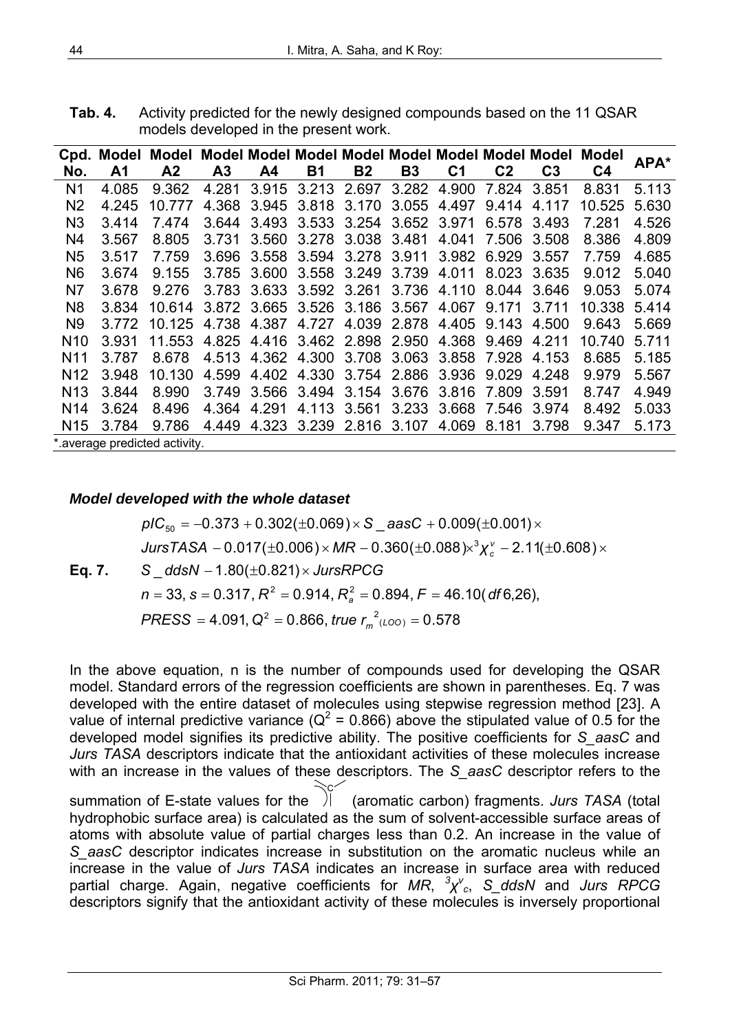**Tab. 4.** Activity predicted for the newly designed compounds based on the 11 QSAR models developed in the present work.

| Cpd.            | Model | Model                         |       |       |             |                   |                |                |                | Model Model Model Model Model Model Model Model | <b>Model</b>   |       |
|-----------------|-------|-------------------------------|-------|-------|-------------|-------------------|----------------|----------------|----------------|-------------------------------------------------|----------------|-------|
| No.             | A1    | A2                            | A3    | A4    | <b>B1</b>   | <b>B2</b>         | B <sub>3</sub> | C <sub>1</sub> | C <sub>2</sub> | C <sub>3</sub>                                  | C <sub>4</sub> | APA*  |
| N <sub>1</sub>  | 4.085 | 9.362                         | 4.281 |       |             | 3.915 3.213 2.697 | 3.282          | 4.900          | 7.824          | 3.851                                           | 8.831          | 5.113 |
| N <sub>2</sub>  | 4.245 | 10.777                        | 4.368 | 3.945 | 3.818       | 3.170             | 3.055          | 4.497          | 9.414          | 4.117                                           | 10.525         | 5.630 |
| N <sub>3</sub>  | 3.414 | 7.474                         | 3.644 | 3.493 |             | 3.533 3.254       | 3.652 3.971    |                | 6.578 3.493    |                                                 | 7.281          | 4.526 |
| N4              | 3.567 | 8.805                         | 3.731 | 3.560 |             | 3.278 3.038       | 3.481          | 4.041          | 7.506          | 3.508                                           | 8.386          | 4.809 |
| N <sub>5</sub>  | 3.517 | 7.759                         | 3.696 | 3.558 | 3.594       | 3.278             | 3.911          | 3.982          | 6.929          | 3.557                                           | 7.759          | 4.685 |
| N <sub>6</sub>  | 3.674 | 9.155                         | 3.785 | 3.600 |             | 3.558 3.249       | 3.739          | 4.011          | 8.023          | 3.635                                           | 9.012          | 5.040 |
| N7              | 3.678 | 9.276                         | 3.783 | 3.633 | 3.592 3.261 |                   | 3.736          | 4.110          | 8.044          | 3.646                                           | 9.053          | 5.074 |
| N <sub>8</sub>  | 3.834 | 10.614                        | 3.872 | 3.665 |             | 3.526 3.186       | 3.567          | 4.067          | 9.171          | 3.711                                           | 10.338         | 5.414 |
| N <sub>9</sub>  | 3.772 | 10.125                        | 4.738 | 4.387 | 4.727       | 4.039             | 2.878          | 4.405          | 9.143          | 4.500                                           | 9.643          | 5.669 |
| N <sub>10</sub> | 3.931 | 11.553                        | 4.825 | 4.416 |             | 3.462 2.898       | 2.950          | 4.368          | 9.469          | 4.211                                           | 10.740         | 5.711 |
| N <sub>11</sub> | 3.787 | 8.678                         | 4.513 | 4.362 | 4.300       | 3.708             | 3.063          | 3.858          | 7.928          | 4.153                                           | 8.685          | 5.185 |
| N <sub>12</sub> | 3.948 | 10.130                        | 4.599 | 4.402 | 4.330       | 3.754             | 2.886          | 3.936          | 9.029          | 4.248                                           | 9.979          | 5.567 |
| N <sub>13</sub> | 3.844 | 8.990                         | 3.749 | 3.566 | 3.494       | 3.154             | 3.676          | 3.816          | 7.809          | 3.591                                           | 8.747          | 4.949 |
| N <sub>14</sub> | 3.624 | 8.496                         | 4.364 | 4.291 | 4.113       | 3.561             | 3.233          | 3.668          | 7.546          | 3.974                                           | 8.492          | 5.033 |
| N <sub>15</sub> | 3.784 | 9.786                         | 4.449 | 4.323 | 3.239       | 2.816             | 3.107          | 4.069          | 8.181          | 3.798                                           | 9.347          | 5.173 |
|                 |       | *.average predicted activity. |       |       |             |                   |                |                |                |                                                 |                |       |

#### *Model developed with the whole dataset*

**Eq. 7.**   $PRESS = 4.091, Q^2 = 0.866, true r_m^2 (100) = 0.578$  $n = 33$ , s = 0.317,  $R^2 = 0.914$ ,  $R_a^2 = 0.894$ ,  $F = 46.10$ (df 6,26), \_ 1.80( 0.821) − ± × *S ddsN JursRPCG*  $-$  0.017( $\pm$ 0.006) $\times$  *MR*  $-$  0.360( $\pm$ 0.088) $\times^3\chi_c^\mathrm{v}$   $-$  2.11( $\pm$ 0.608) $\times$  $\rho$ IC $_{50}$  =  $-0.373$  + 0.302( $\pm$ 0.069) $\times$  S  $\_$  aasC  $+$  0.009( $\pm$ 0.001) $\times$ *JursTASA –* 0.017(±0.006)×*MR –* 0.360(±0.088)× $^3\chi^5_c$ 

In the above equation, n is the number of compounds used for developing the QSAR model. Standard errors of the regression coefficients are shown in parentheses. Eq. 7 was developed with the entire dataset of molecules using stepwise regression method [23]. A value of internal predictive variance ( $Q^2$  = 0.866) above the stipulated value of 0.5 for the developed model signifies its predictive ability. The positive coefficients for *S\_aasC* and *Jurs TASA* descriptors indicate that the antioxidant activities of these molecules increase with an increase in the values of these descriptors. The *S\_aasC* descriptor refers to the summation of E-state values for the  $\widehat{\;\;)}_0^\subset$  (aromatic carbon) fragments. *Jurs TASA* (total

hydrophobic surface area) is calculated as the sum of solvent-accessible surface areas of atoms with absolute value of partial charges less than 0.2. An increase in the value of *S* aasC descriptor indicates increase in substitution on the aromatic nucleus while an increase in the value of *Jurs TASA* indicates an increase in surface area with reduced partial charge. Again, negative coefficients for *MR*, *<sup>3</sup> χv <sup>c</sup>*, *S\_ddsN* and *Jurs RPCG* descriptors signify that the antioxidant activity of these molecules is inversely proportional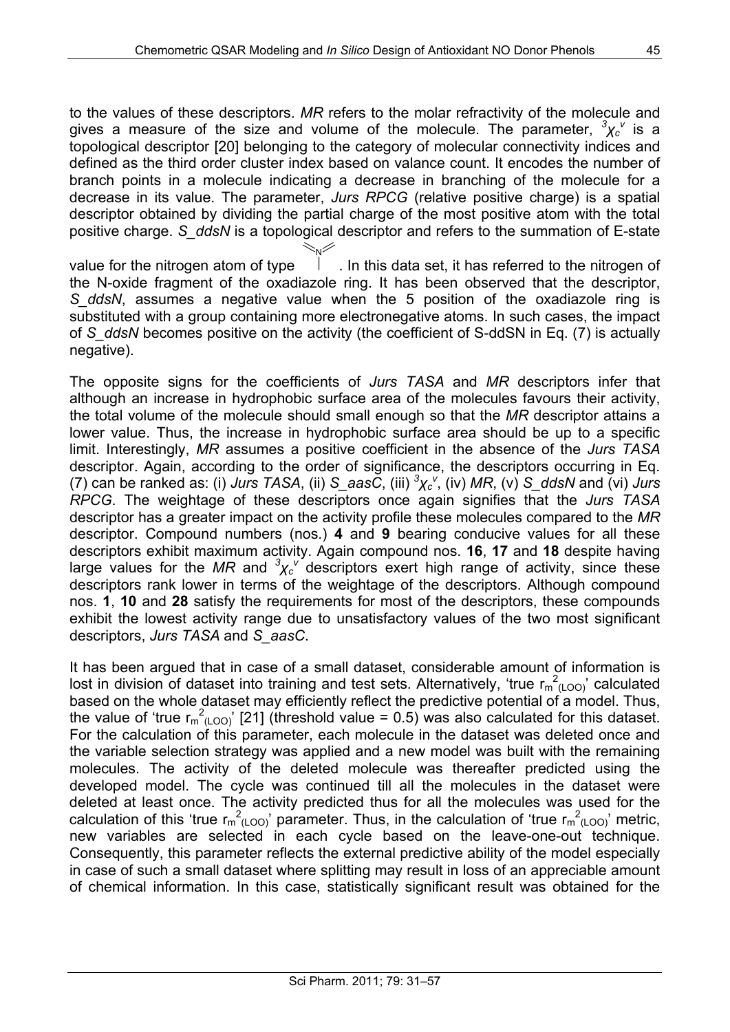to the values of these descriptors. *MR* refers to the molar refractivity of the molecule and gives a measure of the size and volume of the molecule. The parameter,  ${}^3\chi_c{}^v$  is a topological descriptor [20] belonging to the category of molecular connectivity indices and defined as the third order cluster index based on valance count. It encodes the number of branch points in a molecule indicating a decrease in branching of the molecule for a decrease in its value. The parameter, *Jurs RPCG* (relative positive charge) is a spatial descriptor obtained by dividing the partial charge of the most positive atom with the total positive charge. *S\_ddsN* is a topological descriptor and refers to the summation of E-state  $\mathbb{N}$ 

value for the nitrogen atom of type . In this data set, it has referred to the nitrogen of the N-oxide fragment of the oxadiazole ring. It has been observed that the descriptor, *S* ddsN, assumes a negative value when the 5 position of the oxadiazole ring is substituted with a group containing more electronegative atoms. In such cases, the impact of *S* ddsN becomes positive on the activity (the coefficient of S-ddSN in Eq. (7) is actually negative).

The opposite signs for the coefficients of *Jurs TASA* and *MR* descriptors infer that although an increase in hydrophobic surface area of the molecules favours their activity, the total volume of the molecule should small enough so that the *MR* descriptor attains a lower value. Thus, the increase in hydrophobic surface area should be up to a specific limit. Interestingly, *MR* assumes a positive coefficient in the absence of the *Jurs TASA* descriptor. Again, according to the order of significance, the descriptors occurring in Eq. (7) can be ranked as: (i) *Jurs TASA*, (ii) *S\_aasC*, (iii) *<sup>3</sup> χc v* , (iv) *MR*, (v) *S\_ddsN* and (vi) *Jurs RPCG*. The weightage of these descriptors once again signifies that the *Jurs TASA* descriptor has a greater impact on the activity profile these molecules compared to the *MR* descriptor. Compound numbers (nos.) **4** and **9** bearing conducive values for all these descriptors exhibit maximum activity. Again compound nos. **16**, **17** and **18** despite having large values for the MR and  ${}^{3}x^{\nu}$  descriptors exert high range of activity, since these descriptors rank lower in terms of the weightage of the descriptors. Although compound nos. **1**, **10** and **28** satisfy the requirements for most of the descriptors, these compounds exhibit the lowest activity range due to unsatisfactory values of the two most significant descriptors, *Jurs TASA* and *S\_aasC*.

It has been argued that in case of a small dataset, considerable amount of information is lost in division of dataset into training and test sets. Alternatively, 'true  $r_m^2$ <sub>(LOO)</sub>' calculated based on the whole dataset may efficiently reflect the predictive potential of a model. Thus, the value of 'true  $r_m^2$ <sub>(LOO)</sub>' [21] (threshold value = 0.5) was also calculated for this dataset. For the calculation of this parameter, each molecule in the dataset was deleted once and the variable selection strategy was applied and a new model was built with the remaining molecules. The activity of the deleted molecule was thereafter predicted using the developed model. The cycle was continued till all the molecules in the dataset were deleted at least once. The activity predicted thus for all the molecules was used for the calculation of this 'true  $r_m^2$ <sub>(LOO)</sub>' parameter. Thus, in the calculation of 'true  $r_m^2$ <sub>(LOO)</sub>' metric, new variables are selected in each cycle based on the leave-one-out technique. Consequently, this parameter reflects the external predictive ability of the model especially in case of such a small dataset where splitting may result in loss of an appreciable amount of chemical information. In this case, statistically significant result was obtained for the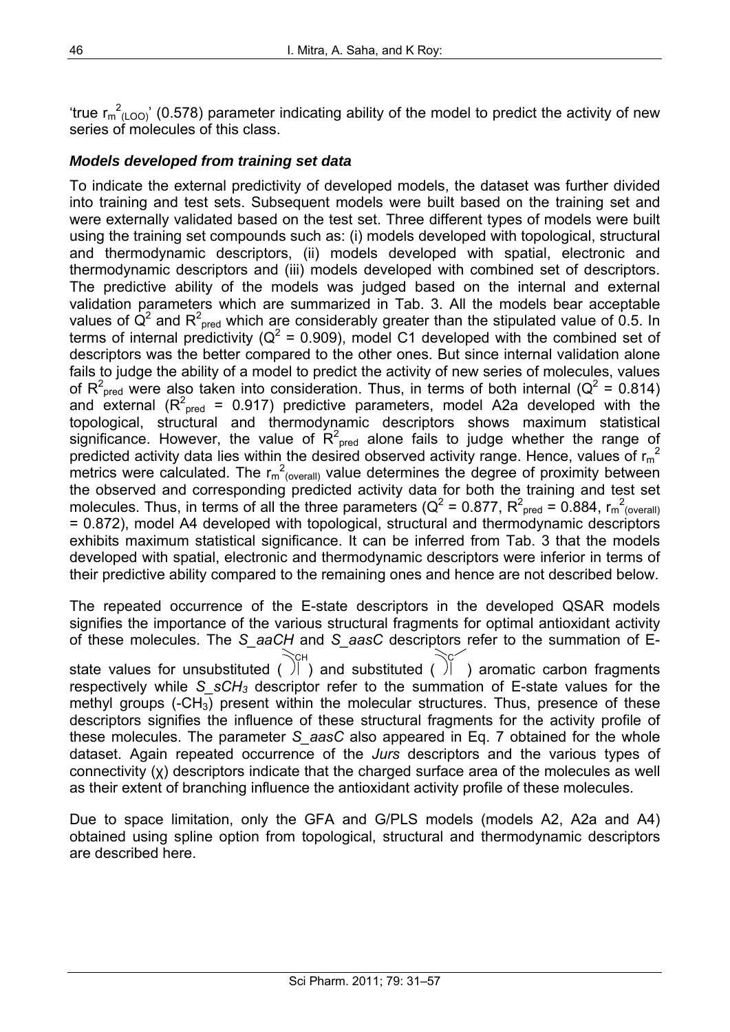'true r<sub>m</sub><sup>2</sup><sub>(LOO)</sub>' (0.578) parameter indicating ability of the model to predict the activity of new series of molecules of this class.

#### *Models developed from training set data*

To indicate the external predictivity of developed models, the dataset was further divided into training and test sets. Subsequent models were built based on the training set and were externally validated based on the test set. Three different types of models were built using the training set compounds such as: (i) models developed with topological, structural and thermodynamic descriptors, (ii) models developed with spatial, electronic and thermodynamic descriptors and (iii) models developed with combined set of descriptors. The predictive ability of the models was judged based on the internal and external validation parameters which are summarized in Tab. 3. All the models bear acceptable values of  $Q^2$  and R<sup>2</sup><sub>pred</sub> which are considerably greater than the stipulated value of 0.5. In terms of internal predictivity ( $Q^2$  = 0.909), model C1 developed with the combined set of descriptors was the better compared to the other ones. But since internal validation alone fails to judge the ability of a model to predict the activity of new series of molecules, values of R<sup>2</sup><sub>pred</sub> were also taken into consideration. Thus, in terms of both internal ( $Q^2$  = 0.814) and external ( $R^2_{\text{pred}}$  = 0.917) predictive parameters, model A2a developed with the topological, structural and thermodynamic descriptors shows maximum statistical significance. However, the value of  $R^2_{\text{pred}}$  alone fails to judge whether the range of predicted activity data lies within the desired observed activity range. Hence, values of  $r_m^2$ metrics were calculated. The  $r_m^2$  (overall) value determines the degree of proximity between the observed and corresponding predicted activity data for both the training and test set molecules. Thus, in terms of all the three parameters ( $Q^2$  = 0.877,  $R^2_{\text{pred}}$  = 0.884,  $r_m^2_{\text{(overall)}}$ = 0.872), model A4 developed with topological, structural and thermodynamic descriptors exhibits maximum statistical significance. It can be inferred from Tab. 3 that the models developed with spatial, electronic and thermodynamic descriptors were inferior in terms of their predictive ability compared to the remaining ones and hence are not described below.

The repeated occurrence of the E-state descriptors in the developed QSAR models signifies the importance of the various structural fragments for optimal antioxidant activity of these molecules. The *S\_aaCH* and *S\_aasC* descriptors refer to the summation of E-

state values for unsubstituted () ) and substituted () ) aromatic carbon fragments respectively while *S\_sCH3* descriptor refer to the summation of E-state values for the methyl groups  $(-CH_3)$  present within the molecular structures. Thus, presence of these descriptors signifies the influence of these structural fragments for the activity profile of these molecules. The parameter *S\_aasC* also appeared in Eq. 7 obtained for the whole dataset. Again repeated occurrence of the *Jurs* descriptors and the various types of connectivity (χ) descriptors indicate that the charged surface area of the molecules as well as their extent of branching influence the antioxidant activity profile of these molecules.

Due to space limitation, only the GFA and G/PLS models (models A2, A2a and A4) obtained using spline option from topological, structural and thermodynamic descriptors are described here.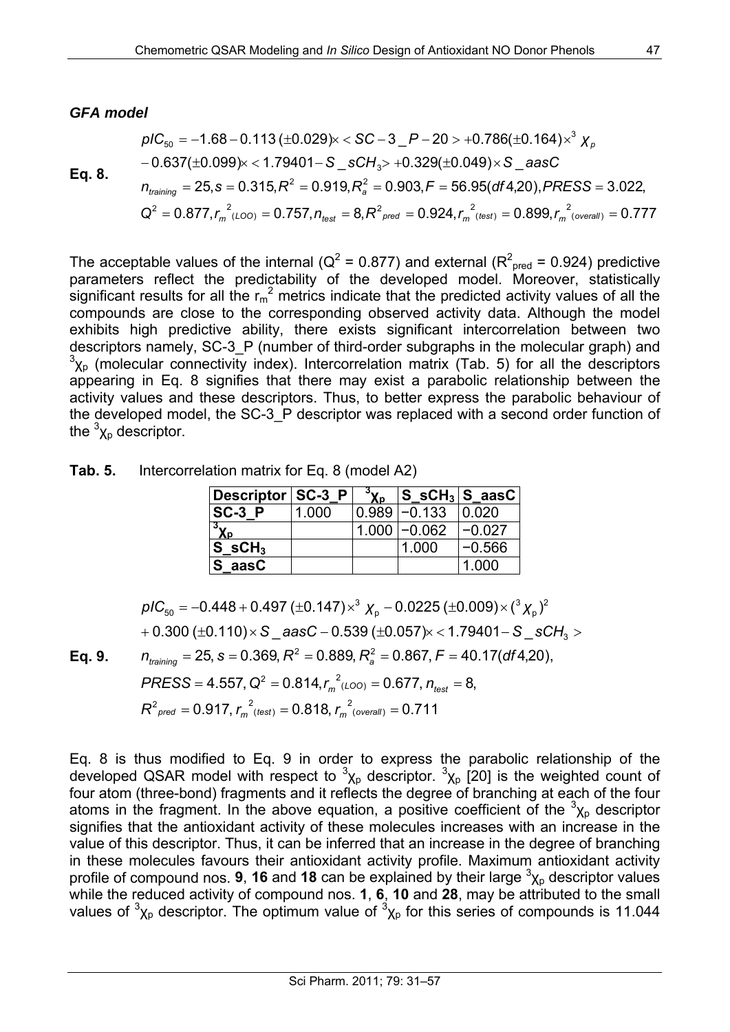#### *GFA model*

**Eq. 8.** 

**Eq. 9.** 

$$
p/C_{50} = -1.68 - 0.113 \ (\pm 0.029) \times \ \leq SC - 3 \ P - 20 > +0.786 \ (\pm 0.164) \times^3 \ \chi_p
$$
  
- 0.637 \ (\pm 0.099) \times \  $1.79401 - S \ \ \leq \ \text{C/H}_3 \ > \ +0.329 \ (\pm 0.049) \times S \ \ \text{aasc}$   

$$
n_{training} = 25, s = 0.315, R^2 = 0.919, R_a^2 = 0.903, F = 56.95 \ (\text{df } 4, 20), \ \ \text{PRES} = 3.022,
$$

$$
Q^2 = 0.877, r_m^2 \ (\text{loop } = 0.757, n_{test} = 8, R^2_{\ \text{pred}} = 0.924, r_m^2 \ (\text{test } = 0.899, r_m^2 \ (\text{overall}) = 0.777
$$

The acceptable values of the internal ( $Q^2$  = 0.877) and external ( $R^2_{\text{pred}}$  = 0.924) predictive parameters reflect the predictability of the developed model. Moreover, statistically significant results for all the  $r_m^2$  metrics indicate that the predicted activity values of all the compounds are close to the corresponding observed activity data. Although the model exhibits high predictive ability, there exists significant intercorrelation between two descriptors namely, SC-3\_P (number of third-order subgraphs in the molecular graph) and  ${}^{3}X_{p}$  (molecular connectivity index). Intercorrelation matrix (Tab. 5) for all the descriptors appearing in Eq. 8 signifies that there may exist a parabolic relationship between the activity values and these descriptors. Thus, to better express the parabolic behaviour of the developed model, the SC-3\_P descriptor was replaced with a second order function of the  ${}^{3}$ <sub>Xp</sub> descriptor.

**Tab. 5.** Intercorrelation matrix for Eq. 8 (model A2)

| Descriptor   SC-3 P  |       | ΄Xp   | $ S \text{ sCH}_3 S \text{ aasc}$ |          |
|----------------------|-------|-------|-----------------------------------|----------|
| $ SC-3 P$            | 1.000 | 0.989 | $-0.133$                          | 0.020    |
| Хp                   |       | 1.000 | $-0.062$                          | $-0.027$ |
| $S$ sCH <sub>3</sub> |       |       | 1.000                             | $-0.566$ |
| S aasC               |       |       |                                   | 1 NOO    |

$$
pIC_{50} = -0.448 + 0.497 \ (\pm 0.147) \times ^3 \ \chi_p - 0.0225 \ (\pm 0.009) \times (^3 \ \chi_p)^2
$$
  
+ 0.300 \ (\pm 0.110) \times S\_a a s C - 0.539 \ (\pm 0.057) \times < 1.79401 - S\_s C H\_3 >  

$$
n_{training} = 25, s = 0.369, R^2 = 0.889, R_a^2 = 0.867, F = 40.17(df4,20),
$$
  

$$
PRESS = 4.557, Q^2 = 0.814, r_m^2(\text{loop}) = 0.677, n_{test} = 8,
$$
  

$$
R^2_{pred} = 0.917, r_m^2(\text{test}) = 0.818, r_m^2(\text{overall}) = 0.711
$$

Eq. 8 is thus modified to Eq. 9 in order to express the parabolic relationship of the developed QSAR model with respect to  ${}^{3}X_{p}$  descriptor.  ${}^{3}X_{p}$  [20] is the weighted count of four atom (three-bond) fragments and it reflects the degree of branching at each of the four atoms in the fragment. In the above equation, a positive coefficient of the  $\mathrm{^{3}X_{p}}$  descriptor signifies that the antioxidant activity of these molecules increases with an increase in the value of this descriptor. Thus, it can be inferred that an increase in the degree of branching in these molecules favours their antioxidant activity profile. Maximum antioxidant activity profile of compound nos. 9, 16 and 18 can be explained by their large  $\frac{3}{2} \chi_{\text{p}}$  descriptor values while the reduced activity of compound nos. **1**, **6**, **10** and **28**, may be attributed to the small values of  $\frac{3}{x_p}$  descriptor. The optimum value of  $\frac{3}{x_p}$  for this series of compounds is 11.044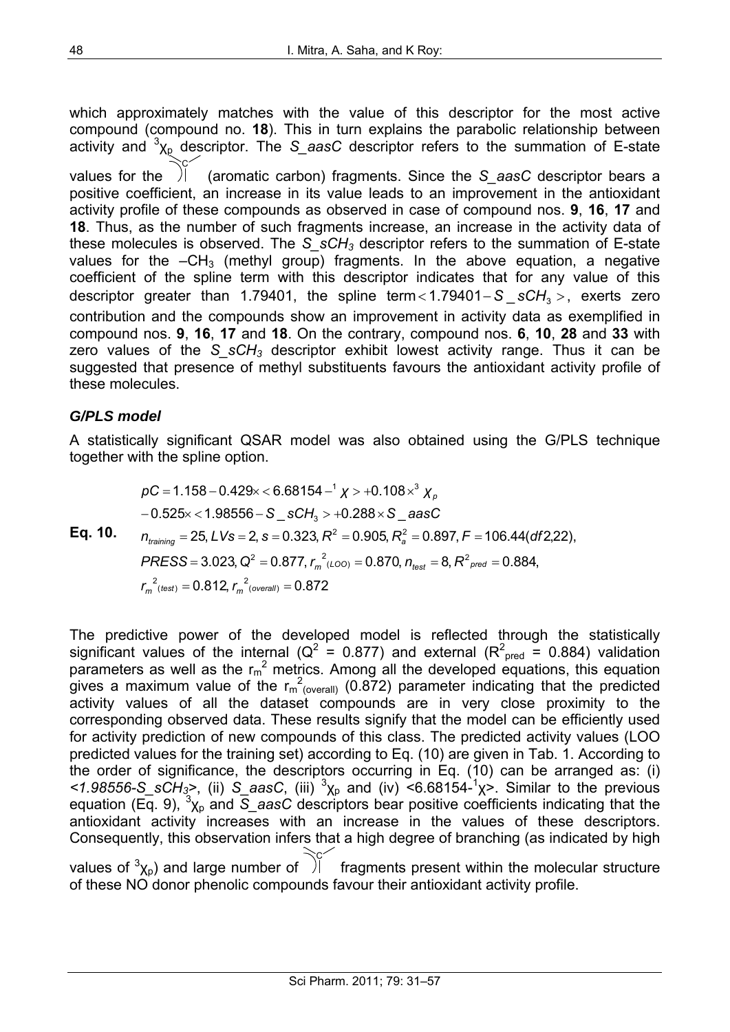which approximately matches with the value of this descriptor for the most active compound (compound no. **18**). This in turn explains the parabolic relationship between activity and <sup>3</sup><sub>X<sub>p</sub> descriptor. The S\_aasC descriptor refers to the summation of E-state</sub> values for the C (aromatic carbon) fragments. Since the *S\_aasC* descriptor bears a positive coefficient, an increase in its value leads to an improvement in the antioxidant activity profile of these compounds as observed in case of compound nos. **9**, **16**, **17** and **18**. Thus, as the number of such fragments increase, an increase in the activity data of these molecules is observed. The *S\_sCH3* descriptor refers to the summation of E-state values for the  $-CH_3$  (methyl group) fragments. In the above equation, a negative coefficient of the spline term with this descriptor indicates that for any value of this descriptor greater than 1.79401, the spline term< 1.79401−*S* \_ *sCH*<sup>3</sup> > , exerts zero contribution and the compounds show an improvement in activity data as exemplified in compound nos. **9**, **16**, **17** and **18**. On the contrary, compound nos. **6**, **10**, **28** and **33** with zero values of the *S\_sCH3* descriptor exhibit lowest activity range. Thus it can be suggested that presence of methyl substituents favours the antioxidant activity profile of these molecules.

#### *G/PLS model*

A statistically significant QSAR model was also obtained using the G/PLS technique together with the spline option.

$$
pC = 1.158 - 0.429 \times 6.68154 - \frac{1}{2} \times 6.108 \times \frac{3}{2} \times \frac{1}{2}
$$
  
- 0.525 \times 1.98556 - S\_SCH<sub>3</sub> > +0.288 \times S\_a asC  
**Eq. 10.** 
$$
n_{training} = 25, LVs = 2, s = 0.323, R^2 = 0.905, R_a^2 = 0.897, F = 106.44(df2,22),
$$

$$
PRESS = 3.023, Q^2 = 0.877, r_m^2 (100) = 0.870, n_{test} = 8, R^2_{pred} = 0.884,
$$

$$
r_m^2 (test) = 0.812, r_m^2 (overall) = 0.872
$$

The predictive power of the developed model is reflected through the statistically significant values of the internal ( $Q^2 = 0.877$ ) and external ( $R^2_{\text{pred}} = 0.884$ ) validation parameters as well as the  $r_m^2$  metrics. Among all the developed equations, this equation gives a maximum value of the  $r_m^2$ <sub>(overall)</sub> (0.872) parameter indicating that the predicted activity values of all the dataset compounds are in very close proximity to the corresponding observed data. These results signify that the model can be efficiently used for activity prediction of new compounds of this class. The predicted activity values (LOO predicted values for the training set) according to Eq. (10) are given in Tab. 1. According to the order of significance, the descriptors occurring in Eq. (10) can be arranged as: (i)  $\leq$  1.98556-S\_sCH<sub>3</sub>>, (ii) S\_aasC, (iii)  ${}^{3}X_{p}$  and (iv)  $\leq$  6.68154- ${}^{1}X$ >. Similar to the previous equation (Eq. 9), <sup>3</sup> $\chi_{\text{p}}$  and S\_aasC descriptors bear positive coefficients indicating that the antioxidant activity increases with an increase in the values of these descriptors. Consequently, this observation infers that a high degree of branching (as indicated by high

values of  ${}^{3}x_{p}$ ) and large number of  $\widehat{ }$  fragments present within the molecular structure of these NO donor phenolic compounds favour their antioxidant activity profile.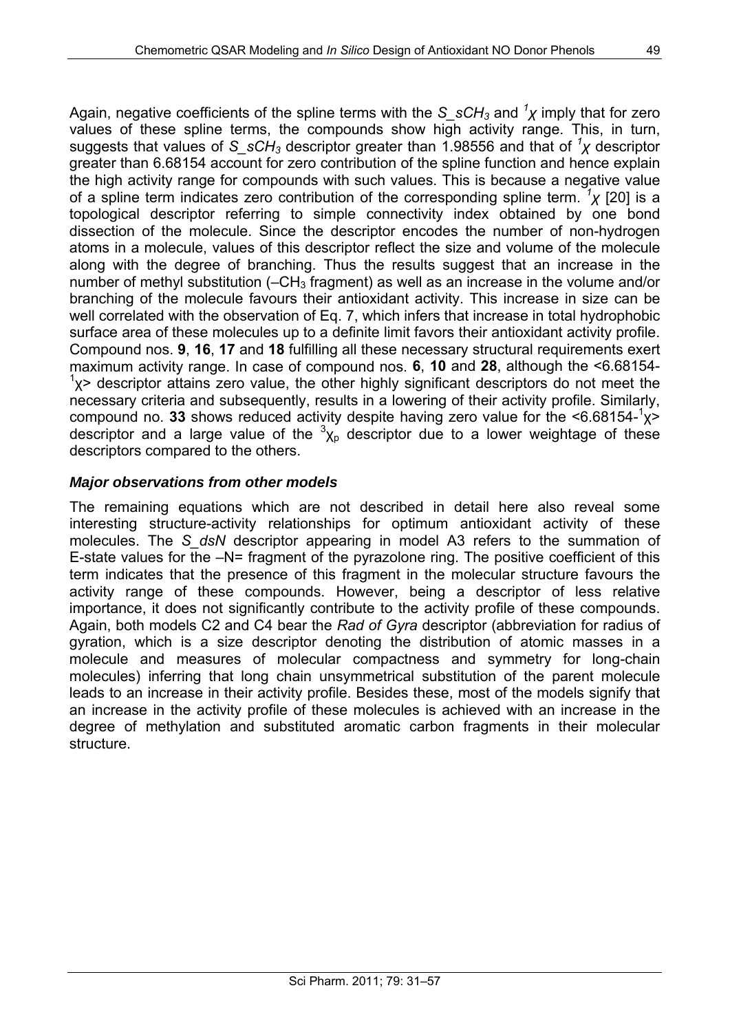Again, negative coefficients of the spline terms with the *S\_sCH3* and *<sup>1</sup> χ* imply that for zero values of these spline terms, the compounds show high activity range. This, in turn, suggests that values of *S\_sCH3* descriptor greater than 1.98556 and that of *<sup>1</sup> χ* descriptor greater than 6.68154 account for zero contribution of the spline function and hence explain the high activity range for compounds with such values. This is because a negative value of a spline term indicates zero contribution of the corresponding spline term. *<sup>1</sup> χ* [20] is a topological descriptor referring to simple connectivity index obtained by one bond dissection of the molecule. Since the descriptor encodes the number of non-hydrogen atoms in a molecule, values of this descriptor reflect the size and volume of the molecule along with the degree of branching. Thus the results suggest that an increase in the number of methyl substitution  $(-CH_3$  fragment) as well as an increase in the volume and/or branching of the molecule favours their antioxidant activity. This increase in size can be well correlated with the observation of Eq. 7, which infers that increase in total hydrophobic surface area of these molecules up to a definite limit favors their antioxidant activity profile. Compound nos. **9**, **16**, **17** and **18** fulfilling all these necessary structural requirements exert maximum activity range. In case of compound nos. **6**, **10** and **28**, although the <6.68154-  $1$ <sub>X</sub> descriptor attains zero value, the other highly significant descriptors do not meet the necessary criteria and subsequently, results in a lowering of their activity profile. Similarly, compound no. 33 shows reduced activity despite having zero value for the  $\leq 6.68154^{-1}$  $\chi$ descriptor and a large value of the  ${}^{3}X_{p}$  descriptor due to a lower weightage of these descriptors compared to the others.

#### *Major observations from other models*

The remaining equations which are not described in detail here also reveal some interesting structure-activity relationships for optimum antioxidant activity of these molecules. The *S\_dsN* descriptor appearing in model A3 refers to the summation of E-state values for the –N= fragment of the pyrazolone ring. The positive coefficient of this term indicates that the presence of this fragment in the molecular structure favours the activity range of these compounds. However, being a descriptor of less relative importance, it does not significantly contribute to the activity profile of these compounds. Again, both models C2 and C4 bear the *Rad of Gyra* descriptor (abbreviation for radius of gyration, which is a size descriptor denoting the distribution of atomic masses in a molecule and measures of molecular compactness and symmetry for long-chain molecules) inferring that long chain unsymmetrical substitution of the parent molecule leads to an increase in their activity profile. Besides these, most of the models signify that an increase in the activity profile of these molecules is achieved with an increase in the degree of methylation and substituted aromatic carbon fragments in their molecular structure.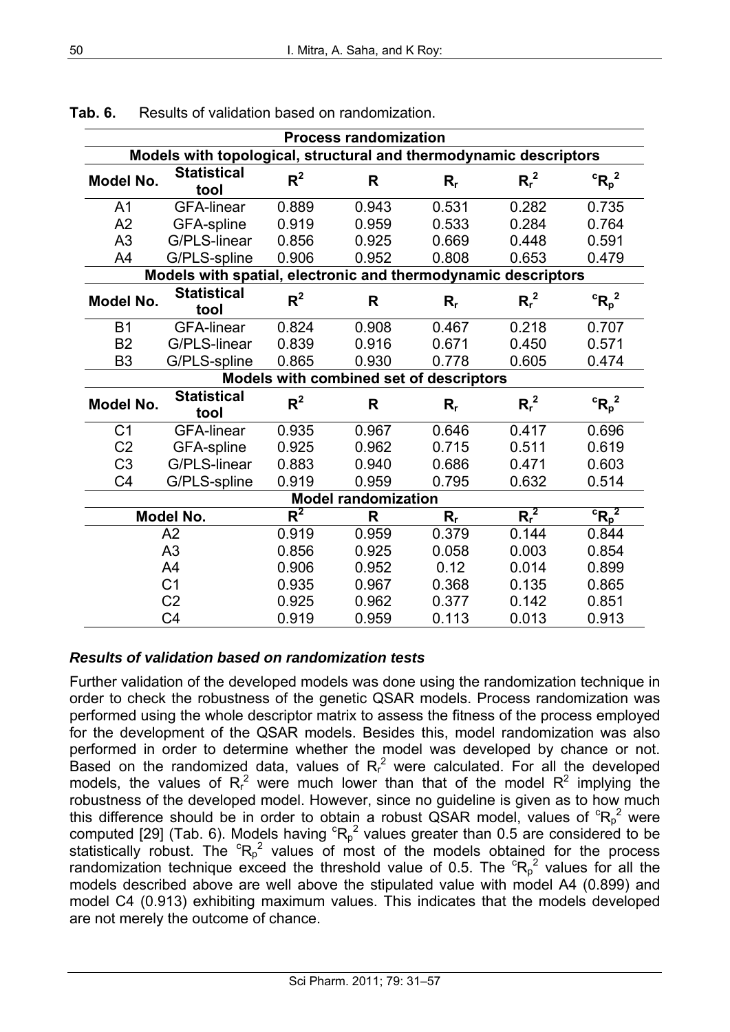|                                                                   | <b>Process randomization</b>                                  |       |              |       |         |                            |  |  |  |  |
|-------------------------------------------------------------------|---------------------------------------------------------------|-------|--------------|-------|---------|----------------------------|--|--|--|--|
| Models with topological, structural and thermodynamic descriptors |                                                               |       |              |       |         |                            |  |  |  |  |
| Model No.                                                         | <b>Statistical</b><br>tool                                    | $R^2$ | R            | $R_r$ | $R_r^2$ | ${}^{c}R_{p}^{2}$          |  |  |  |  |
| A <sub>1</sub>                                                    | <b>GFA-linear</b>                                             | 0.889 | 0.943        | 0.531 | 0.282   | 0.735                      |  |  |  |  |
| A2                                                                | GFA-spline                                                    |       | 0.959        | 0.533 | 0.284   | 0.764                      |  |  |  |  |
| A3                                                                | G/PLS-linear                                                  | 0.856 | 0.925        | 0.669 | 0.448   | 0.591                      |  |  |  |  |
| A4                                                                | G/PLS-spline                                                  | 0.906 | 0.952        | 0.808 | 0.653   | 0.479                      |  |  |  |  |
|                                                                   | Models with spatial, electronic and thermodynamic descriptors |       |              |       |         |                            |  |  |  |  |
| Model No.                                                         | <b>Statistical</b><br>tool                                    | $R^2$ | R            | $R_r$ | $R_r^2$ | ${}^{c}R_{p}^{2}$          |  |  |  |  |
| <b>B1</b>                                                         | <b>GFA-linear</b>                                             | 0.824 | 0.908        | 0.467 | 0.218   | 0.707                      |  |  |  |  |
| <b>B2</b><br>G/PLS-linear                                         |                                                               | 0.839 | 0.916        | 0.671 | 0.450   | 0.571                      |  |  |  |  |
| B <sub>3</sub>                                                    | G/PLS-spline                                                  | 0.865 | 0.930        | 0.778 | 0.605   | 0.474                      |  |  |  |  |
| Models with combined set of descriptors                           |                                                               |       |              |       |         |                            |  |  |  |  |
| Model No.                                                         | <b>Statistical</b><br>tool                                    | $R^2$ | R            | $R_r$ | $R_r^2$ | ${}^{c}R_{p}^{2}$          |  |  |  |  |
| C <sub>1</sub><br><b>GFA-linear</b>                               |                                                               | 0.935 | 0.967        | 0.646 | 0.417   | 0.696                      |  |  |  |  |
| C <sub>2</sub>                                                    | GFA-spline                                                    | 0.925 | 0.962        | 0.715 | 0.511   | 0.619                      |  |  |  |  |
| C <sub>3</sub>                                                    | G/PLS-linear                                                  | 0.883 | 0.940        | 0.686 | 0.471   | 0.603                      |  |  |  |  |
| C <sub>4</sub>                                                    | G/PLS-spline                                                  | 0.919 | 0.959        | 0.795 | 0.632   | 0.514                      |  |  |  |  |
| <b>Model randomization</b>                                        |                                                               |       |              |       |         |                            |  |  |  |  |
|                                                                   | Model No.                                                     | $R^2$ | $\mathsf{R}$ | $R_r$ | $R_r^2$ | $\mathrm{{}^{c}R_{p}}^{2}$ |  |  |  |  |
|                                                                   | A2                                                            | 0.919 | 0.959        | 0.379 | 0.144   | 0.844                      |  |  |  |  |
|                                                                   | A3                                                            | 0.856 | 0.925        | 0.058 | 0.003   | 0.854                      |  |  |  |  |
|                                                                   | A4                                                            | 0.906 | 0.952        | 0.12  | 0.014   | 0.899                      |  |  |  |  |
|                                                                   | C <sub>1</sub>                                                | 0.935 | 0.967        | 0.368 | 0.135   | 0.865                      |  |  |  |  |
|                                                                   | C <sub>2</sub>                                                | 0.925 | 0.962        | 0.377 | 0.142   | 0.851                      |  |  |  |  |
|                                                                   | C <sub>4</sub>                                                | 0.919 | 0.959        | 0.113 | 0.013   | 0.913                      |  |  |  |  |

**Tab. 6.** Results of validation based on randomization.

#### *Results of validation based on randomization tests*

Further validation of the developed models was done using the randomization technique in order to check the robustness of the genetic QSAR models. Process randomization was performed using the whole descriptor matrix to assess the fitness of the process employed for the development of the QSAR models. Besides this, model randomization was also performed in order to determine whether the model was developed by chance or not. Based on the randomized data, values of  $R_f^2$  were calculated. For all the developed models, the values of  $R_r^2$  were much lower than that of the model  $R^2$  implying the robustness of the developed model. However, since no guideline is given as to how much this difference should be in order to obtain a robust QSAR model, values of  ${}^{c}R_{p}^{2}$  were computed [29] (Tab. 6). Models having  ${}^{c}R_{p}^{2}$  values greater than 0.5 are considered to be statistically robust. The  ${}^{c}R_{p}^{2}$  values of most of the models obtained for the process randomization technique exceed the threshold value of 0.5. The  ${}^{c}R_{p}^{2}$  values for all the models described above are well above the stipulated value with model A4 (0.899) and model C4 (0.913) exhibiting maximum values. This indicates that the models developed are not merely the outcome of chance.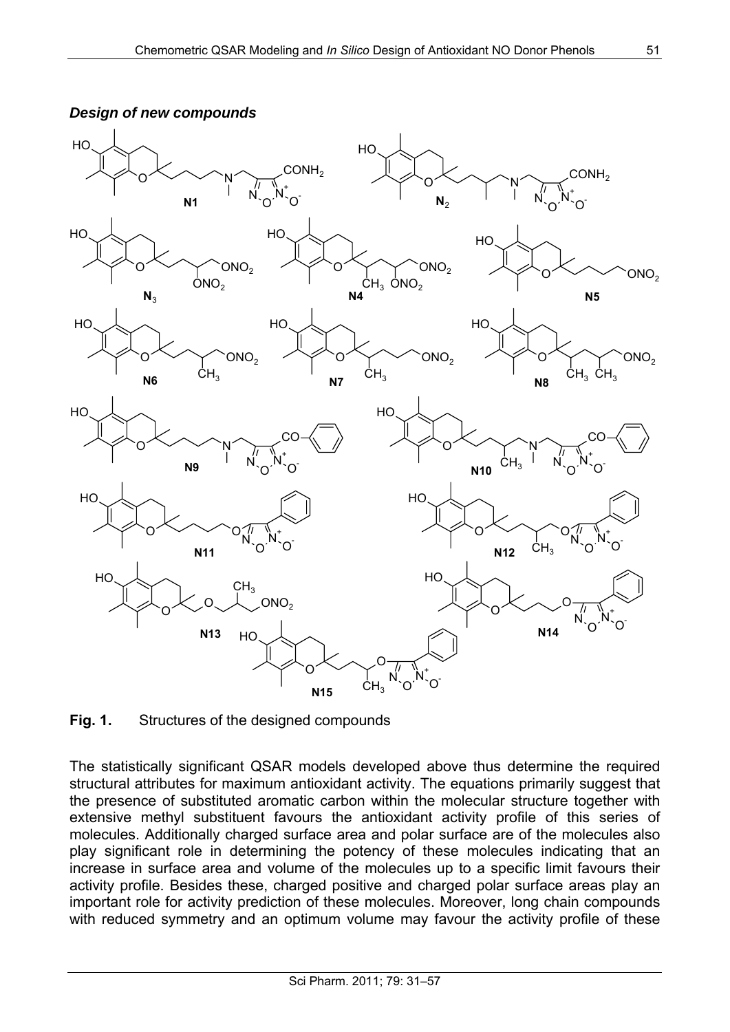

#### *Design of new compounds*

**Fig. 1.** Structures of the designed compounds

The statistically significant QSAR models developed above thus determine the required structural attributes for maximum antioxidant activity. The equations primarily suggest that the presence of substituted aromatic carbon within the molecular structure together with extensive methyl substituent favours the antioxidant activity profile of this series of molecules. Additionally charged surface area and polar surface are of the molecules also play significant role in determining the potency of these molecules indicating that an increase in surface area and volume of the molecules up to a specific limit favours their activity profile. Besides these, charged positive and charged polar surface areas play an important role for activity prediction of these molecules. Moreover, long chain compounds with reduced symmetry and an optimum volume may favour the activity profile of these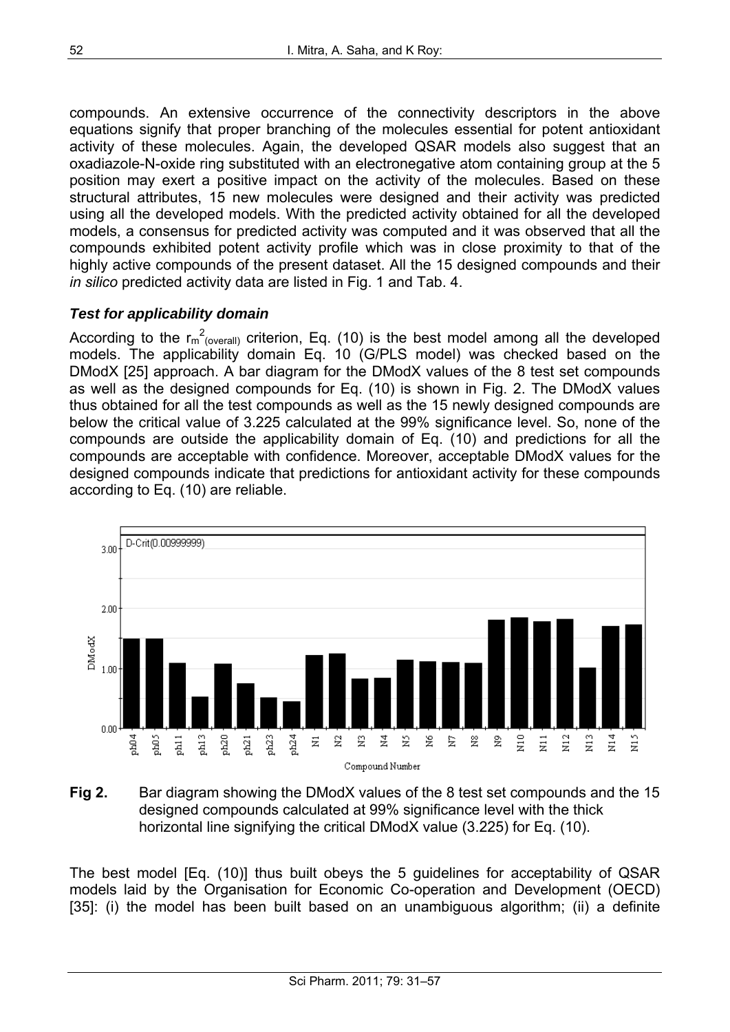compounds. An extensive occurrence of the connectivity descriptors in the above equations signify that proper branching of the molecules essential for potent antioxidant activity of these molecules. Again, the developed QSAR models also suggest that an oxadiazole-N-oxide ring substituted with an electronegative atom containing group at the 5 position may exert a positive impact on the activity of the molecules. Based on these structural attributes, 15 new molecules were designed and their activity was predicted using all the developed models. With the predicted activity obtained for all the developed models, a consensus for predicted activity was computed and it was observed that all the compounds exhibited potent activity profile which was in close proximity to that of the highly active compounds of the present dataset. All the 15 designed compounds and their *in silico* predicted activity data are listed in Fig. 1 and Tab. 4.

#### *Test for applicability domain*

According to the  $r_m^2$ <sub>(overall)</sub> criterion, Eq. (10) is the best model among all the developed models. The applicability domain Eq. 10 (G/PLS model) was checked based on the DModX [25] approach. A bar diagram for the DModX values of the 8 test set compounds as well as the designed compounds for Eq. (10) is shown in Fig. 2. The DModX values thus obtained for all the test compounds as well as the 15 newly designed compounds are below the critical value of 3.225 calculated at the 99% significance level. So, none of the compounds are outside the applicability domain of Eq. (10) and predictions for all the compounds are acceptable with confidence. Moreover, acceptable DModX values for the designed compounds indicate that predictions for antioxidant activity for these compounds according to Eq. (10) are reliable.





The best model [Eq. (10)] thus built obeys the 5 guidelines for acceptability of QSAR models laid by the Organisation for Economic Co-operation and Development (OECD)  $[35]$ : (i) the model has been built based on an unambiguous algorithm; (ii) a definite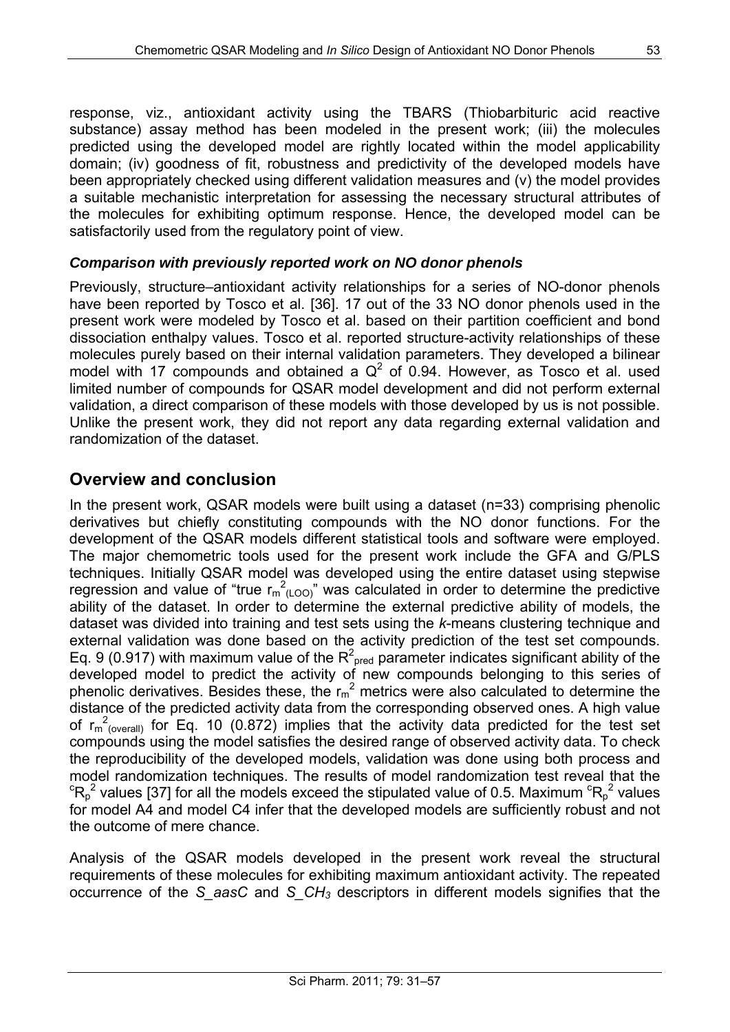response, viz., antioxidant activity using the TBARS (Thiobarbituric acid reactive substance) assay method has been modeled in the present work; (iii) the molecules predicted using the developed model are rightly located within the model applicability domain; (iv) goodness of fit, robustness and predictivity of the developed models have been appropriately checked using different validation measures and (v) the model provides a suitable mechanistic interpretation for assessing the necessary structural attributes of the molecules for exhibiting optimum response. Hence, the developed model can be satisfactorily used from the regulatory point of view.

#### *Comparison with previously reported work on NO donor phenols*

Previously, structure–antioxidant activity relationships for a series of NO-donor phenols have been reported by Tosco et al. [36]. 17 out of the 33 NO donor phenols used in the present work were modeled by Tosco et al. based on their partition coefficient and bond dissociation enthalpy values. Tosco et al. reported structure-activity relationships of these molecules purely based on their internal validation parameters. They developed a bilinear model with 17 compounds and obtained a  $Q^2$  of 0.94. However, as Tosco et al. used limited number of compounds for QSAR model development and did not perform external validation, a direct comparison of these models with those developed by us is not possible. Unlike the present work, they did not report any data regarding external validation and randomization of the dataset.

## **Overview and conclusion**

In the present work, QSAR models were built using a dataset (n=33) comprising phenolic derivatives but chiefly constituting compounds with the NO donor functions. For the development of the QSAR models different statistical tools and software were employed. The major chemometric tools used for the present work include the GFA and G/PLS techniques. Initially QSAR model was developed using the entire dataset using stepwise regression and value of "true  $r_m^2$ <sub>(LOO)</sub>" was calculated in order to determine the predictive ability of the dataset. In order to determine the external predictive ability of models, the dataset was divided into training and test sets using the *k*-means clustering technique and external validation was done based on the activity prediction of the test set compounds. Eq. 9 (0.917) with maximum value of the  $R^2$ <sub>pred</sub> parameter indicates significant ability of the developed model to predict the activity of new compounds belonging to this series of phenolic derivatives. Besides these, the  $r_m^2$  metrics were also calculated to determine the distance of the predicted activity data from the corresponding observed ones. A high value of  $r_m^2$ <sub>(overall)</sub> for Eq. 10 (0.872) implies that the activity data predicted for the test set compounds using the model satisfies the desired range of observed activity data. To check the reproducibility of the developed models, validation was done using both process and model randomization techniques. The results of model randomization test reveal that the  $R_p^2$  values [37] for all the models exceed the stipulated value of 0.5. Maximum  ${}^cR_p^2$  values for model A4 and model C4 infer that the developed models are sufficiently robust and not the outcome of mere chance.

Analysis of the QSAR models developed in the present work reveal the structural requirements of these molecules for exhibiting maximum antioxidant activity. The repeated occurrence of the *S\_aasC* and *S\_CH3* descriptors in different models signifies that the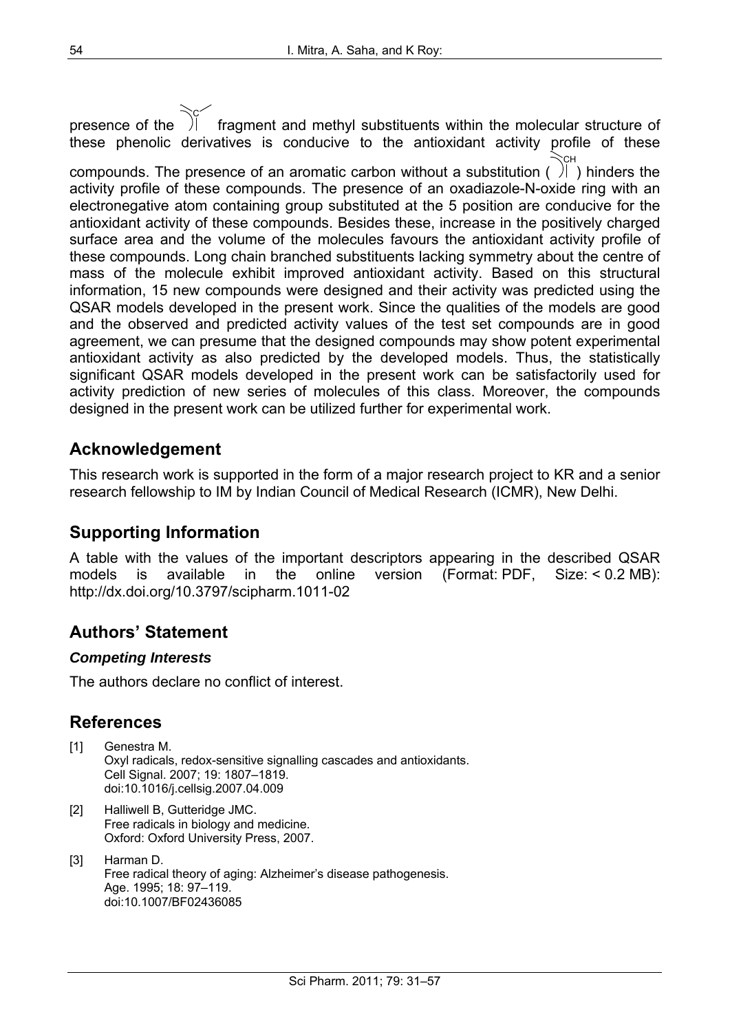presence of the C fragment and methyl substituents within the molecular structure of these phenolic derivatives is conducive to the antioxidant activity profile of these

compounds. The presence of an aromatic carbon without a substitution (  $\widehat{\|\hspace{3pt}\rangle}^{\text{\tiny CH}}$  ) hinders the activity profile of these compounds. The presence of an oxadiazole-N-oxide ring with an electronegative atom containing group substituted at the 5 position are conducive for the antioxidant activity of these compounds. Besides these, increase in the positively charged surface area and the volume of the molecules favours the antioxidant activity profile of these compounds. Long chain branched substituents lacking symmetry about the centre of mass of the molecule exhibit improved antioxidant activity. Based on this structural information, 15 new compounds were designed and their activity was predicted using the QSAR models developed in the present work. Since the qualities of the models are good and the observed and predicted activity values of the test set compounds are in good agreement, we can presume that the designed compounds may show potent experimental antioxidant activity as also predicted by the developed models. Thus, the statistically significant QSAR models developed in the present work can be satisfactorily used for activity prediction of new series of molecules of this class. Moreover, the compounds designed in the present work can be utilized further for experimental work.

#### **Acknowledgement**

This research work is supported in the form of a major research project to KR and a senior research fellowship to IM by Indian Council of Medical Research (ICMR), New Delhi.

#### **Supporting Information**

A table with the values of the important descriptors appearing in the described QSAR models is available in the online version (Format: PDF, Size: < 0.2 MB): http://dx.doi.org/10.3797/scipharm.1011-02

## **Authors' Statement**

#### *Competing Interests*

The authors declare no conflict of interest.

## **References**

- [1] Genestra M. Oxyl radicals, redox-sensitive signalling cascades and antioxidants. Cell Signal. 2007; 19: 1807–1819. [doi:10.1016/j.cellsig.2007.04.009](http://dx.doi.org/10.1016%2Fj.cellsig.2007.04.009)
- [2] Halliwell B, Gutteridge JMC. Free radicals in biology and medicine. Oxford: Oxford University Press, 2007.
- [3] Harman D. Free radical theory of aging: Alzheimer's disease pathogenesis. Age. 1995; 18: 97–119. [doi:10.1007/BF02436085](http://dx.doi.org/10.1007%2FBF02436085)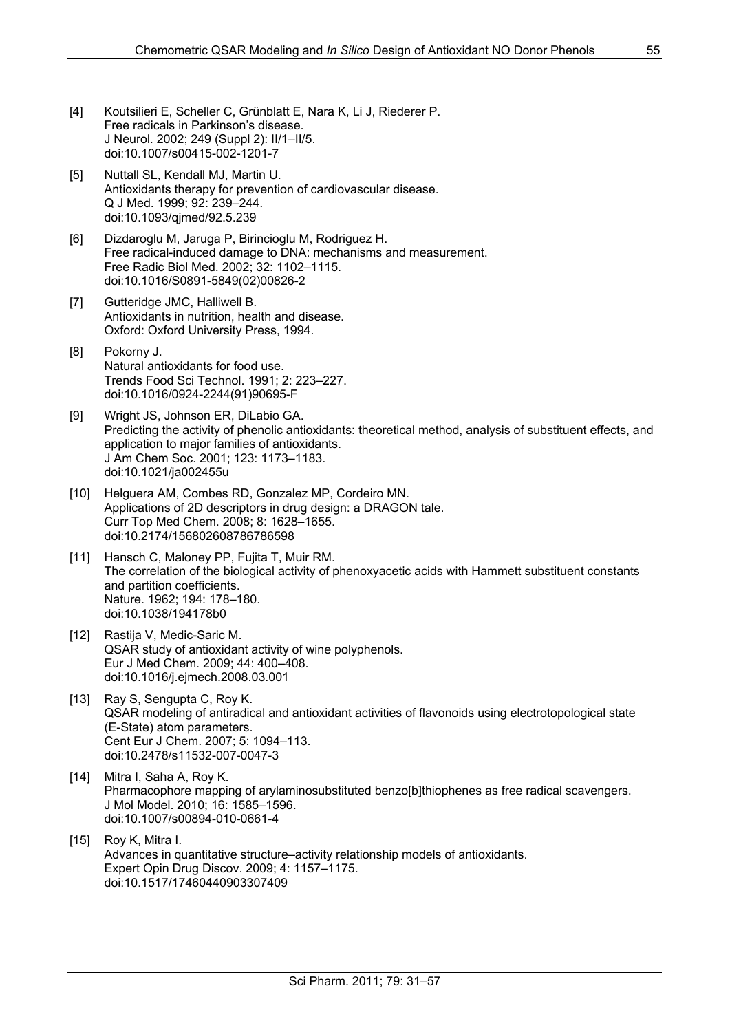- [4] Koutsilieri E, Scheller C, Grünblatt E, Nara K, Li J, Riederer P. Free radicals in Parkinson's disease. J Neurol. 2002; 249 (Suppl 2): II/1–II/5. [doi:10.1007/s00415-002-1201-7](http://dx.doi.org/10.1007%2Fs00415-002-1201-7)
- [5] Nuttall SL, Kendall MJ, Martin U. Antioxidants therapy for prevention of cardiovascular disease. Q J Med. 1999; 92: 239–244. [doi:10.1093/qjmed/92.5.239](http://dx.doi.org/10.1093%2Fqjmed%2F92.5.239)
- [6] Dizdaroglu M, Jaruga P, Birincioglu M, Rodriguez H. Free radical-induced damage to DNA: mechanisms and measurement. Free Radic Biol Med. 2002; 32: 1102–1115. [doi:10.1016/S0891-5849\(02\)00826-2](http://dx.doi.org/10.1016%2FS0891-5849%2802%2900826-2)
- [7] Gutteridge JMC, Halliwell B. Antioxidants in nutrition, health and disease. Oxford: Oxford University Press, 1994.
- [8] Pokorny J. Natural antioxidants for food use. Trends Food Sci Technol. 1991; 2: 223–227. [doi:10.1016/0924-2244\(91\)90695-F](http://dx.doi.org/10.1016%2F0924-2244%2891%2990695-F)
- [9] Wright JS, Johnson ER, DiLabio GA. Predicting the activity of phenolic antioxidants: theoretical method, analysis of substituent effects, and application to major families of antioxidants. J Am Chem Soc. 2001; 123: 1173–1183. [doi:10.1021/ja002455u](http://dx.doi.org/10.1021%2Fja002455u)
- [10] Helguera AM, Combes RD, Gonzalez MP, Cordeiro MN. Applications of 2D descriptors in drug design: a DRAGON tale. Curr Top Med Chem. 2008; 8: 1628–1655. [doi:10.2174/156802608786786598](http://dx.doi.org/10.2174%2F156802608786786598)
- [11] Hansch C, Maloney PP, Fujita T, Muir RM. The correlation of the biological activity of phenoxyacetic acids with Hammett substituent constants and partition coefficients. Nature. 1962; 194: 178–180. [doi:10.1038/194178b0](http://dx.doi.org/10.1038%2F194178b0)
- [12] Rastija V, Medic-Saric M. QSAR study of antioxidant activity of wine polyphenols. Eur J Med Chem. 2009; 44: 400–408. [doi:10.1016/j.ejmech.2008.03.001](http://dx.doi.org/10.1016%2Fj.ejmech.2008.03.001)
- [13] Ray S, Sengupta C, Roy K. QSAR modeling of antiradical and antioxidant activities of flavonoids using electrotopological state (E-State) atom parameters. Cent Eur J Chem. 2007; 5: 1094–113. [doi:10.2478/s11532-007-0047-3](http://dx.doi.org/10.2478%2Fs11532-007-0047-3)
- [14] Mitra I, Saha A, Roy K. Pharmacophore mapping of arylaminosubstituted benzo[b]thiophenes as free radical scavengers. J Mol Model. 2010; 16: 1585–1596. doi:10.1007/s00894-010-0661-4
- [15] Roy K, Mitra I. Advances in quantitative structure–activity relationship models of antioxidants. Expert Opin Drug Discov. 2009; 4: 1157–1175. [doi:10.1517/17460440903307409](http://dx.doi.org/10.1517%2F17460440903307409)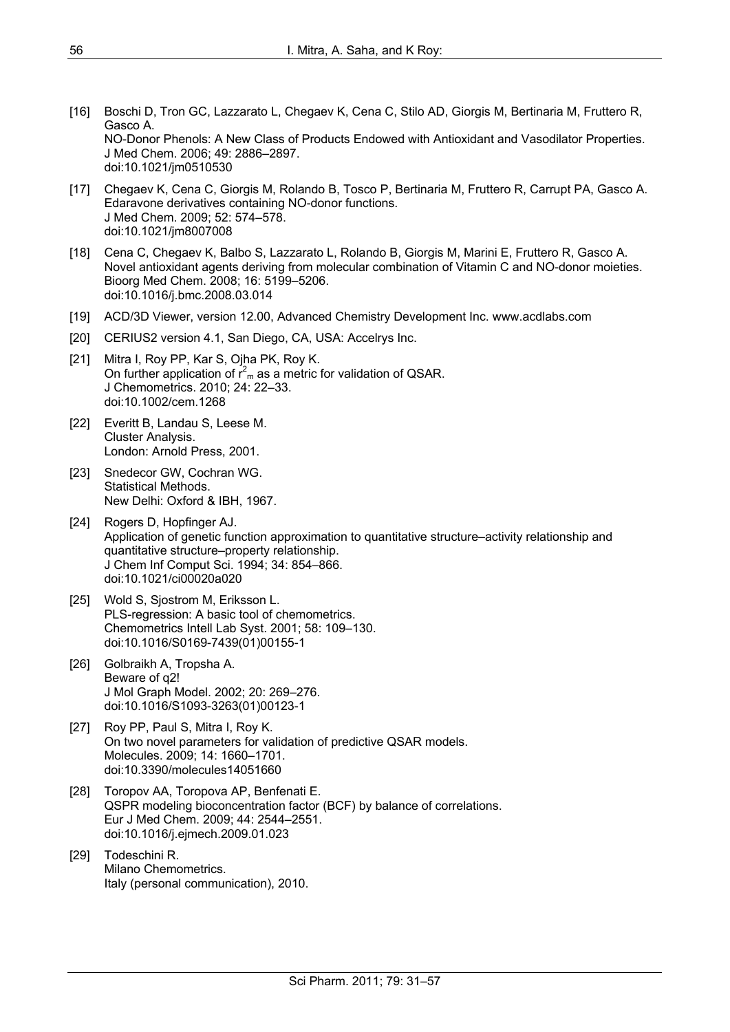- [16] Boschi D, Tron GC, Lazzarato L, Chegaev K, Cena C, Stilo AD, Giorgis M, Bertinaria M, Fruttero R, Gasco A. NO-Donor Phenols: A New Class of Products Endowed with Antioxidant and Vasodilator Properties. J Med Chem. 2006; 49: 2886–2897. [doi:10.1021/jm0510530](http://dx.doi.org/10.1021%2Fjm0510530)
- [17] Chegaev K, Cena C, Giorgis M, Rolando B, Tosco P, Bertinaria M, Fruttero R, Carrupt PA, Gasco A. Edaravone derivatives containing NO-donor functions. J Med Chem. 2009; 52: 574–578. [doi:10.1021/jm8007008](http://dx.doi.org/10.1021%2Fjm8007008)
- [18] Cena C, Chegaev K, Balbo S, Lazzarato L, Rolando B, Giorgis M, Marini E, Fruttero R, Gasco A. Novel antioxidant agents deriving from molecular combination of Vitamin C and NO-donor moieties. Bioorg Med Chem. 2008; 16: 5199–5206. [doi:10.1016/j.bmc.2008.03.014](http://dx.doi.org/10.1016%2Fj.bmc.2008.03.014)
- [19] ACD/3D Viewer, version 12.00, Advanced Chemistry Development Inc. [www.acdlabs.com](http://www.acdlabs.com/)
- [20] CERIUS2 version 4.1, San Diego, CA, USA: Accelrys Inc.
- [21] Mitra I, Roy PP, Kar S, Ojha PK, Roy K. On further application of  $r<sup>2</sup><sub>m</sub>$  as a metric for validation of QSAR. J Chemometrics. 2010; 24: 22–33. doi:10.1002/cem.1268
- [22] Everitt B, Landau S, Leese M. Cluster Analysis. London: Arnold Press, 2001.
- [23] Snedecor GW, Cochran WG. Statistical Methods. New Delhi: Oxford & IBH, 1967.
- [24] Rogers D, Hopfinger AJ. Application of genetic function approximation to quantitative structure–activity relationship and quantitative structure–property relationship. J Chem Inf Comput Sci. 1994; 34: 854–866. [doi:10.1021/ci00020a020](http://dx.doi.org/10.1021%2Fci00020a020)
- [25] Wold S, Siostrom M, Eriksson L. PLS-regression: A basic tool of chemometrics. Chemometrics Intell Lab Syst. 2001; 58: 109–130. [doi:10.1016/S0169-7439\(01\)00155-1](http://dx.doi.org/10.1016%2FS0169-7439%2801%2900155-1)
- [26] Golbraikh A, Tropsha A. Beware of q2! J Mol Graph Model. 2002; 20: 269–276. [doi:10.1016/S1093-3263\(01\)00123-1](http://dx.doi.org/10.1016/S1093-3263(01)00123-1)
- [27] Roy PP, Paul S, Mitra I, Roy K. On two novel parameters for validation of predictive QSAR models. Molecules. 2009; 14: 1660–1701. doi:10.3390/molecules14051660
- [28] Toropov AA, Toropova AP, Benfenati E. QSPR modeling bioconcentration factor (BCF) by balance of correlations. Eur J Med Chem. 2009; 44: 2544–2551. [doi:10.1016/j.ejmech.2009.01.023](http://dx.doi.org/10.1016%2Fj.ejmech.2009.01.023)
- [29] Todeschini R. Milano Chemometrics. Italy (personal communication), 2010.